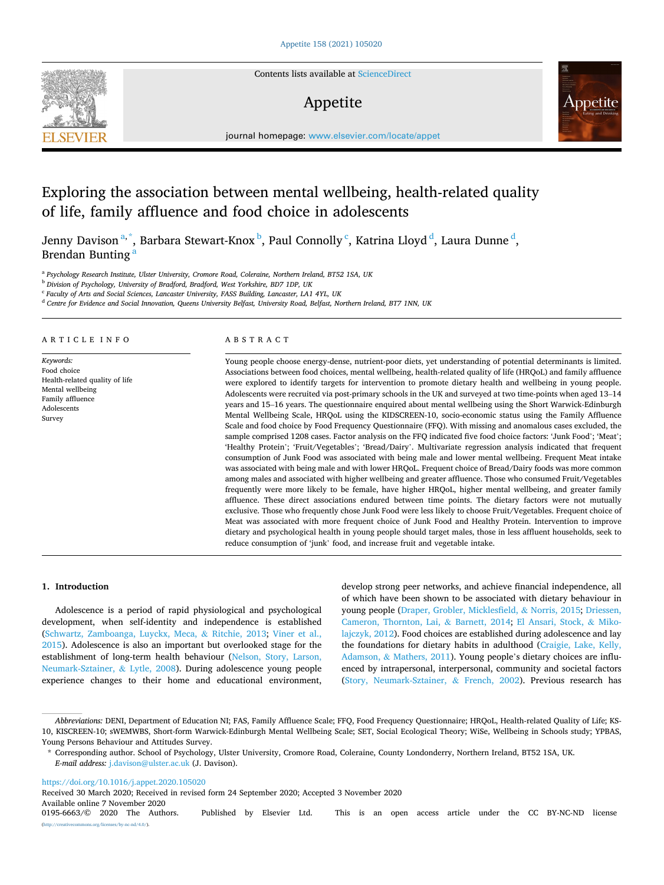

Contents lists available at [ScienceDirect](www.sciencedirect.com/science/journal/01956663)

# Appetite



journal homepage: [www.elsevier.com/locate/appet](https://www.elsevier.com/locate/appet) 

# Exploring the association between mental wellbeing, health-related quality of life, family affluence and food choice in adolescents

Jenny Davison  $^{a,\ast},$  Barbara Stewart-Knox  $^b$ , Paul Connolly  $^c$ , Katrina Lloyd  $^d$ , Laura Dunne  $^d$ , Brendan Bunting $\frac{3}{5}$ 

<sup>a</sup> *Psychology Research Institute, Ulster University, Cromore Road, Coleraine, Northern Ireland, BT52 1SA, UK* 

<sup>b</sup> *Division of Psychology, University of Bradford, Bradford, West Yorkshire, BD7 1DP, UK* 

<sup>c</sup> *Faculty of Arts and Social Sciences, Lancaster University, FASS Building, Lancaster, LA1 4YL, UK* 

<sup>d</sup> *Centre for Evidence and Social Innovation, Queens University Belfast, University Road, Belfast, Northern Ireland, BT7 1NN, UK* 

ARTICLE INFO

*Keywords:*  Food choice Health-related quality of life Mental wellbeing Family affluence Adolescents Survey

# ABSTRACT

Young people choose energy-dense, nutrient-poor diets, yet understanding of potential determinants is limited. Associations between food choices, mental wellbeing, health-related quality of life (HRQoL) and family affluence were explored to identify targets for intervention to promote dietary health and wellbeing in young people. Adolescents were recruited via post-primary schools in the UK and surveyed at two time-points when aged 13–14 years and 15–16 years. The questionnaire enquired about mental wellbeing using the Short Warwick-Edinburgh Mental Wellbeing Scale, HRQoL using the KIDSCREEN-10, socio-economic status using the Family Affluence Scale and food choice by Food Frequency Questionnaire (FFQ). With missing and anomalous cases excluded, the sample comprised 1208 cases. Factor analysis on the FFQ indicated five food choice factors: 'Junk Food'; 'Meat'; 'Healthy Protein'; 'Fruit/Vegetables'; 'Bread/Dairy'. Multivariate regression analysis indicated that frequent consumption of Junk Food was associated with being male and lower mental wellbeing. Frequent Meat intake was associated with being male and with lower HRQoL. Frequent choice of Bread/Dairy foods was more common among males and associated with higher wellbeing and greater affluence. Those who consumed Fruit/Vegetables frequently were more likely to be female, have higher HRQoL, higher mental wellbeing, and greater family affluence. These direct associations endured between time points. The dietary factors were not mutually exclusive. Those who frequently chose Junk Food were less likely to choose Fruit/Vegetables. Frequent choice of Meat was associated with more frequent choice of Junk Food and Healthy Protein. Intervention to improve dietary and psychological health in young people should target males, those in less affluent households, seek to reduce consumption of 'junk' food, and increase fruit and vegetable intake.

#### **1. Introduction**

Adolescence is a period of rapid physiological and psychological development, when self-identity and independence is established ([Schwartz, Zamboanga, Luyckx, Meca,](#page-10-0) & Ritchie, 2013; [Viner et al.,](#page-11-0)  [2015\)](#page-11-0). Adolescence is also an important but overlooked stage for the establishment of long-term health behaviour [\(Nelson, Story, Larson,](#page-10-0)  [Neumark-Sztainer,](#page-10-0) & Lytle, 2008). During adolescence young people experience changes to their home and educational environment,

develop strong peer networks, and achieve financial independence, all of which have been shown to be associated with dietary behaviour in young people ([Draper, Grobler, Micklesfield,](#page-9-0) & Norris, 2015; [Driessen,](#page-9-0)  [Cameron, Thornton, Lai,](#page-9-0) & Barnett, 2014; [El Ansari, Stock,](#page-9-0) & Miko[lajczyk, 2012](#page-9-0)). Food choices are established during adolescence and lay the foundations for dietary habits in adulthood ([Craigie, Lake, Kelly,](#page-9-0)  Adamson, & [Mathers, 2011](#page-9-0)). Young people's dietary choices are influenced by intrapersonal, interpersonal, community and societal factors ([Story, Neumark-Sztainer,](#page-10-0) & French, 2002). Previous research has

<https://doi.org/10.1016/j.appet.2020.105020>

Available online 7 November 2020<br>0195-6663/© 2020 The Authors. Published by Elsevier Ltd. This is an open access article under the CC BY-NC-ND license ses/by-nc-nd/4.0/). Received 30 March 2020; Received in revised form 24 September 2020; Accepted 3 November 2020

*Abbreviations:* DENI, Department of Education NI; FAS, Family Affluence Scale; FFQ, Food Frequency Questionnaire; HRQoL, Health-related Quality of Life; KS-10, KISCREEN-10; sWEMWBS, Short-form Warwick-Edinburgh Mental Wellbeing Scale; SET, Social Ecological Theory; WiSe, Wellbeing in Schools study; YPBAS, Young Persons Behaviour and Attitudes Survey.

<sup>\*</sup> Corresponding author. School of Psychology, Ulster University, Cromore Road, Coleraine, County Londonderry, Northern Ireland, BT52 1SA, UK.

*E-mail address:* [j.davison@ulster.ac.uk](mailto:j.davison@ulster.ac.uk) (J. Davison).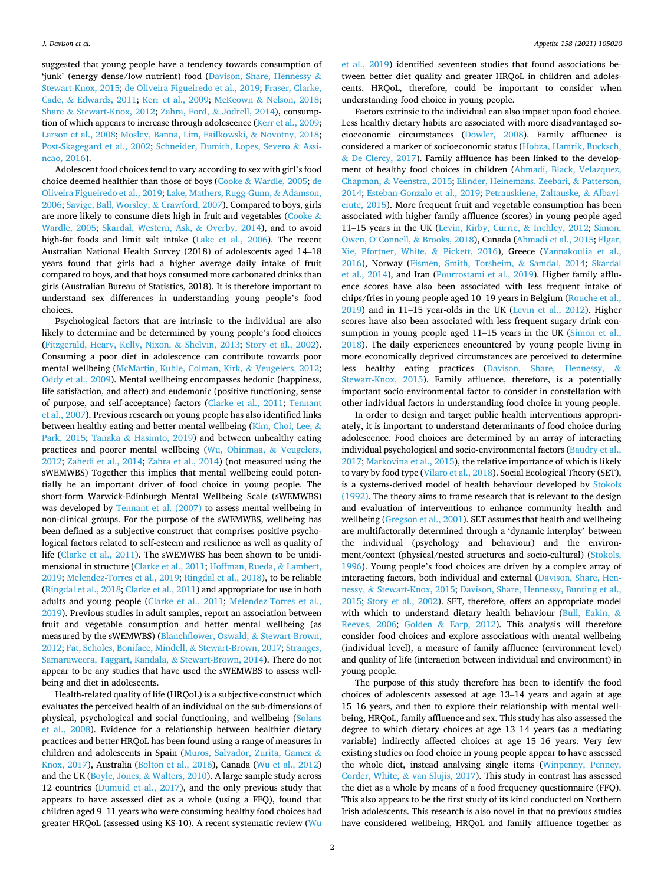suggested that young people have a tendency towards consumption of 'junk' (energy dense/low nutrient) food [\(Davison, Share, Hennessy](#page-9-0) & [Stewart-Knox, 2015](#page-9-0); [de Oliveira Figueiredo et al., 2019](#page-10-0); [Fraser, Clarke,](#page-9-0)  Cade, & [Edwards, 2011;](#page-9-0) [Kerr et al., 2009](#page-9-0); McKeown & [Nelson, 2018](#page-10-0); Share & [Stewart-Knox, 2012](#page-10-0); Zahra, Ford, & [Jodrell, 2014\)](#page-11-0), consumption of which appears to increase through adolescence [\(Kerr et al., 2009](#page-9-0); [Larson et al., 2008; Mosley, Banna, Lim, Failkowski,](#page-10-0) & Novotny, 2018; [Post-Skagegard et al., 2002](#page-10-0); [Schneider, Dumith, Lopes, Severo](#page-10-0) & Assi[ncao, 2016\)](#page-10-0).

Adolescent food choices tend to vary according to sex with girl's food choice deemed healthier than those of boys (Cooke & [Wardle, 2005;](#page-9-0) [de](#page-10-0)  [Oliveira Figueiredo et al., 2019; Lake, Mathers, Rugg-Gunn,](#page-10-0) & Adamson, [2006; Savige, Ball, Worsley,](#page-10-0) & Crawford, 2007). Compared to boys, girls are more likely to consume diets high in fruit and vegetables [\(Cooke](#page-9-0) & [Wardle, 2005](#page-9-0); [Skardal, Western, Ask,](#page-10-0) & Overby, 2014), and to avoid high-fat foods and limit salt intake ([Lake et al., 2006](#page-10-0)). The recent Australian National Health Survey (2018) of adolescents aged 14–18 years found that girls had a higher average daily intake of fruit compared to boys, and that boys consumed more carbonated drinks than girls (Australian Bureau of Statistics, 2018). It is therefore important to understand sex differences in understanding young people's food choices.

Psychological factors that are intrinsic to the individual are also likely to determine and be determined by young people's food choices ([Fitzgerald, Heary, Kelly, Nixon,](#page-9-0) & Shelvin, 2013; [Story et al., 2002](#page-10-0)). Consuming a poor diet in adolescence can contribute towards poor mental wellbeing [\(McMartin, Kuhle, Colman, Kirk,](#page-10-0) & Veugelers, 2012; [Oddy et al., 2009](#page-10-0)). Mental wellbeing encompasses hedonic (happiness, life satisfaction, and affect) and eudemonic (positive functioning, sense of purpose, and self-acceptance) factors ([Clarke et al., 2011](#page-9-0); [Tennant](#page-10-0)  [et al., 2007\)](#page-10-0). Previous research on young people has also identified links between healthy eating and better mental wellbeing [\(Kim, Choi, Lee,](#page-10-0) & [Park, 2015;](#page-10-0) Tanaka & [Hasimto, 2019](#page-10-0)) and between unhealthy eating practices and poorer mental wellbeing ([Wu, Ohinmaa,](#page-11-0) & Veugelers, [2012; Zahedi et al., 2014;](#page-11-0) [Zahra et al., 2014\)](#page-11-0) (not measured using the sWEMWBS) Together this implies that mental wellbeing could potentially be an important driver of food choice in young people. The short-form Warwick-Edinburgh Mental Wellbeing Scale (sWEMWBS) was developed by [Tennant et al. \(2007\)](#page-10-0) to assess mental wellbeing in non-clinical groups. For the purpose of the sWEMWBS, wellbeing has been defined as a subjective construct that comprises positive psychological factors related to self-esteem and resilience as well as quality of life ([Clarke et al., 2011](#page-9-0)). The sWEMWBS has been shown to be unidimensional in structure ([Clarke et al., 2011](#page-9-0); [Hoffman, Rueda,](#page-9-0) & Lambert, [2019;](#page-9-0) [Melendez-Torres et al., 2019; Ringdal et al., 2018\)](#page-10-0), to be reliable ([Ringdal et al., 2018;](#page-10-0) [Clarke et al., 2011](#page-9-0)) and appropriate for use in both adults and young people ([Clarke et al., 2011;](#page-9-0) [Melendez-Torres et al.,](#page-10-0)  [2019\)](#page-10-0). Previous studies in adult samples, report an association between fruit and vegetable consumption and better mental wellbeing (as measured by the sWEMWBS) [\(Blanchflower, Oswald,](#page-9-0) & Stewart-Brown, [2012; Fat, Scholes, Boniface, Mindell,](#page-9-0) & Stewart-Brown, 2017; [Stranges,](#page-10-0)  [Samaraweera, Taggart, Kandala,](#page-10-0) & Stewart-Brown, 2014). There do not appear to be any studies that have used the sWEMWBS to assess wellbeing and diet in adolescents.

Health-related quality of life (HRQoL) is a subjective construct which evaluates the perceived health of an individual on the sub-dimensions of physical, psychological and social functioning, and wellbeing [\(Solans](#page-10-0)  [et al., 2008](#page-10-0)). Evidence for a relationship between healthier dietary practices and better HRQoL has been found using a range of measures in children and adolescents in Spain [\(Muros, Salvador, Zurita, Gamez](#page-10-0) & [Knox, 2017](#page-10-0)), Australia ([Bolton et al., 2016](#page-9-0)), Canada [\(Wu et al., 2012\)](#page-11-0) and the UK (Boyle, Jones, & [Walters, 2010\)](#page-9-0). A large sample study across 12 countries [\(Dumuid et al., 2017\)](#page-9-0), and the only previous study that appears to have assessed diet as a whole (using a FFQ), found that children aged 9–11 years who were consuming healthy food choices had greater HRQoL (assessed using KS-10). A recent systematic review ([Wu](#page-11-0) 

[et al., 2019](#page-11-0)) identified seventeen studies that found associations between better diet quality and greater HRQoL in children and adolescents. HRQoL, therefore, could be important to consider when understanding food choice in young people.

Factors extrinsic to the individual can also impact upon food choice. Less healthy dietary habits are associated with more disadvantaged socioeconomic circumstances [\(Dowler, 2008\)](#page-9-0). Family affluence is considered a marker of socioeconomic status ([Hobza, Hamrik, Bucksch,](#page-9-0)  & [De Clercy, 2017\)](#page-9-0). Family affluence has been linked to the development of healthy food choices in children ([Ahmadi, Black, Velazquez,](#page-9-0)  Chapman, & [Veenstra, 2015; Elinder, Heinemans, Zeebari,](#page-9-0) & Patterson, [2014; Esteban-Gonzalo et al., 2019;](#page-9-0) [Petrauskiene, Zaltauske,](#page-10-0) & Albavi[ciute, 2015\)](#page-10-0). More frequent fruit and vegetable consumption has been associated with higher family affluence (scores) in young people aged 11–15 years in the UK ([Levin, Kirby, Currie,](#page-10-0) & Inchley, 2012; [Simon,](#page-10-0)  Owen, O'Connell, & [Brooks, 2018](#page-10-0)), Canada ([Ahmadi et al., 2015; Elgar,](#page-9-0)  [Xie, Pfortner, White,](#page-9-0) & Pickett, 2016), Greece ([Yannakoulia et al.,](#page-11-0)  [2016\)](#page-11-0), Norway [\(Fismen, Smith, Torsheim,](#page-9-0) & Samdal, 2014; [Skardal](#page-10-0)  [et al., 2014\)](#page-10-0), and Iran ([Pourrostami et al., 2019\)](#page-10-0). Higher family affluence scores have also been associated with less frequent intake of chips/fries in young people aged 10–19 years in Belgium ([Rouche et al.,](#page-10-0)  [2019\)](#page-10-0) and in 11–15 year-olds in the UK [\(Levin et al., 2012\)](#page-10-0). Higher scores have also been associated with less frequent sugary drink consumption in young people aged 11–15 years in the UK ([Simon et al.,](#page-10-0)  [2018\)](#page-10-0). The daily experiences encountered by young people living in more economically deprived circumstances are perceived to determine less healthy eating practices ([Davison, Share, Hennessy,](#page-9-0) & [Stewart-Knox, 2015\)](#page-9-0). Family affluence, therefore, is a potentially important socio-environmental factor to consider in constellation with other individual factors in understanding food choice in young people.

In order to design and target public health interventions appropriately, it is important to understand determinants of food choice during adolescence. Food choices are determined by an array of interacting individual psychological and socio-environmental factors [\(Baudry et al.,](#page-9-0)  [2017;](#page-9-0) [Markovina et al., 2015\)](#page-10-0), the relative importance of which is likely to vary by food type [\(Vilaro et al., 2018](#page-11-0)). Social Ecological Theory (SET), is a systems-derived model of health behaviour developed by [Stokols](#page-10-0)  [\(1992\).](#page-10-0) The theory aims to frame research that is relevant to the design and evaluation of interventions to enhance community health and wellbeing ([Gregson et al., 2001](#page-9-0)). SET assumes that health and wellbeing are multifactorally determined through a 'dynamic interplay' between the individual (psychology and behaviour) and the environment/context (physical/nested structures and socio-cultural) [\(Stokols,](#page-10-0)  [1996\)](#page-10-0). Young people's food choices are driven by a complex array of interacting factors, both individual and external [\(Davison, Share, Hen](#page-9-0)nessy, & [Stewart-Knox, 2015](#page-9-0); [Davison, Share, Hennessy, Bunting et al.,](#page-9-0)  [2015;](#page-9-0) [Story et al., 2002\)](#page-10-0). SET, therefore, offers an appropriate model with which to understand dietary health behaviour ([Bull, Eakin,](#page-9-0) & [Reeves, 2006;](#page-9-0) Golden & [Earp, 2012\)](#page-9-0). This analysis will therefore consider food choices and explore associations with mental wellbeing (individual level), a measure of family affluence (environment level) and quality of life (interaction between individual and environment) in young people.

The purpose of this study therefore has been to identify the food choices of adolescents assessed at age 13–14 years and again at age 15–16 years, and then to explore their relationship with mental wellbeing, HRQoL, family affluence and sex. This study has also assessed the degree to which dietary choices at age 13–14 years (as a mediating variable) indirectly affected choices at age 15–16 years. Very few existing studies on food choice in young people appear to have assessed the whole diet, instead analysing single items [\(Winpenny, Penney,](#page-11-0)  Corder, White, & [van Slujis, 2017\)](#page-11-0). This study in contrast has assessed the diet as a whole by means of a food frequency questionnaire (FFQ). This also appears to be the first study of its kind conducted on Northern Irish adolescents. This research is also novel in that no previous studies have considered wellbeing, HRQoL and family affluence together as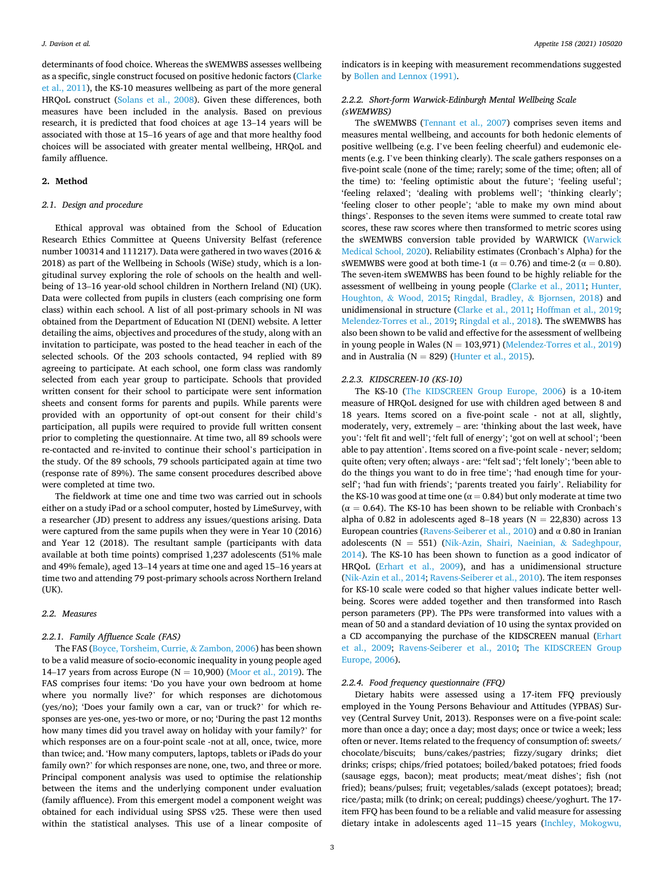*Appetite 158 (2021) 105020*

determinants of food choice. Whereas the sWEMWBS assesses wellbeing as a specific, single construct focused on positive hedonic factors ([Clarke](#page-9-0)  [et al., 2011\)](#page-9-0), the KS-10 measures wellbeing as part of the more general HRQoL construct ([Solans et al., 2008](#page-10-0)). Given these differences, both measures have been included in the analysis. Based on previous research, it is predicted that food choices at age 13–14 years will be associated with those at 15–16 years of age and that more healthy food choices will be associated with greater mental wellbeing, HRQoL and family affluence.

# **2. Method**

# *2.1. Design and procedure*

Ethical approval was obtained from the School of Education Research Ethics Committee at Queens University Belfast (reference number 100314 and 111217). Data were gathered in two waves (2016 & 2018) as part of the Wellbeing in Schools (WiSe) study, which is a longitudinal survey exploring the role of schools on the health and wellbeing of 13–16 year-old school children in Northern Ireland (NI) (UK). Data were collected from pupils in clusters (each comprising one form class) within each school. A list of all post-primary schools in NI was obtained from the Department of Education NI (DENI) website. A letter detailing the aims, objectives and procedures of the study, along with an invitation to participate, was posted to the head teacher in each of the selected schools. Of the 203 schools contacted, 94 replied with 89 agreeing to participate. At each school, one form class was randomly selected from each year group to participate. Schools that provided written consent for their school to participate were sent information sheets and consent forms for parents and pupils. While parents were provided with an opportunity of opt-out consent for their child's participation, all pupils were required to provide full written consent prior to completing the questionnaire. At time two, all 89 schools were re-contacted and re-invited to continue their school's participation in the study. Of the 89 schools, 79 schools participated again at time two (response rate of 89%). The same consent procedures described above were completed at time two.

The fieldwork at time one and time two was carried out in schools either on a study iPad or a school computer, hosted by LimeSurvey, with a researcher (JD) present to address any issues/questions arising. Data were captured from the same pupils when they were in Year 10 (2016) and Year 12 (2018). The resultant sample (participants with data available at both time points) comprised 1,237 adolescents (51% male and 49% female), aged 13–14 years at time one and aged 15–16 years at time two and attending 79 post-primary schools across Northern Ireland (UK).

## *2.2. Measures*

#### *2.2.1. Family Affluence Scale (FAS)*

The FAS ([Boyce, Torsheim, Currie,](#page-9-0) & Zambon, 2006) has been shown to be a valid measure of socio-economic inequality in young people aged 14–17 years from across Europe ( $N = 10,900$ ) [\(Moor et al., 2019\)](#page-10-0). The FAS comprises four items: 'Do you have your own bedroom at home where you normally live?' for which responses are dichotomous (yes/no); 'Does your family own a car, van or truck?' for which responses are yes-one, yes-two or more, or no; 'During the past 12 months how many times did you travel away on holiday with your family?' for which responses are on a four-point scale -not at all, once, twice, more than twice; and. 'How many computers, laptops, tablets or iPads do your family own?' for which responses are none, one, two, and three or more. Principal component analysis was used to optimise the relationship between the items and the underlying component under evaluation (family affluence). From this emergent model a component weight was obtained for each individual using SPSS v25. These were then used within the statistical analyses. This use of a linear composite of

indicators is in keeping with measurement recommendations suggested by [Bollen and Lennox \(1991\).](#page-9-0)

# *2.2.2. Short-form Warwick-Edinburgh Mental Wellbeing Scale (sWEMWBS)*

The sWEMWBS [\(Tennant et al., 2007\)](#page-10-0) comprises seven items and measures mental wellbeing, and accounts for both hedonic elements of positive wellbeing (e.g. I've been feeling cheerful) and eudemonic elements (e.g. I've been thinking clearly). The scale gathers responses on a five-point scale (none of the time; rarely; some of the time; often; all of the time) to: 'feeling optimistic about the future'; 'feeling useful'; 'feeling relaxed'; 'dealing with problems well'; 'thinking clearly'; 'feeling closer to other people'; 'able to make my own mind about things'. Responses to the seven items were summed to create total raw scores, these raw scores where then transformed to metric scores using the sWEMWBS conversion table provided by WARWICK [\(Warwick](#page-11-0)  [Medical School, 2020\)](#page-11-0). Reliability estimates (Cronbach's Alpha) for the sWEMWBS were good at both time-1 ( $\alpha = 0.76$ ) and time-2 ( $\alpha = 0.80$ ). The seven-item sWEMWBS has been found to be highly reliable for the assessment of wellbeing in young people ([Clarke et al., 2011;](#page-9-0) [Hunter,](#page-9-0)  Houghton, & [Wood, 2015;](#page-9-0) [Ringdal, Bradley,](#page-10-0) & Bjornsen, 2018) and unidimensional in structure [\(Clarke et al., 2011](#page-9-0); [Hoffman et al., 2019](#page-9-0); [Melendez-Torres et al., 2019; Ringdal et al., 2018\)](#page-10-0). The sWEMWBS has also been shown to be valid and effective for the assessment of wellbeing in young people in Wales ( $N = 103,971$ ) ([Melendez-Torres et al., 2019\)](#page-10-0) and in Australia ( $N = 829$ ) [\(Hunter et al., 2015](#page-9-0)).

#### *2.2.3. KIDSCREEN-10 (KS-10)*

The KS-10 [\(The KIDSCREEN Group Europe, 2006\)](#page-10-0) is a 10-item measure of HRQoL designed for use with children aged between 8 and 18 years. Items scored on a five-point scale - not at all, slightly, moderately, very, extremely – are: 'thinking about the last week, have you': 'felt fit and well'; 'felt full of energy'; 'got on well at school'; 'been able to pay attention'. Items scored on a five-point scale - never; seldom; quite often; very often; always - are: "felt sad'; 'felt lonely'; 'been able to do the things you want to do in free time'; 'had enough time for yourself'; 'had fun with friends'; 'parents treated you fairly'. Reliability for the KS-10 was good at time one ( $\alpha$  = 0.84) but only moderate at time two  $(\alpha = 0.64)$ . The KS-10 has been shown to be reliable with Cronbach's alpha of 0.82 in adolescents aged 8–18 years ( $N = 22,830$ ) across 13 European countries ([Ravens-Seiberer et al., 2010](#page-10-0)) and  $\alpha$  0.80 in Iranian adolescents ( $N = 551$ ) [\(Nik-Azin, Shairi, Naeinian,](#page-10-0) & Sadeghpour, [2014\)](#page-10-0). The KS-10 has been shown to function as a good indicator of HRQoL [\(Erhart et al., 2009\)](#page-9-0), and has a unidimensional structure ([Nik-Azin et al., 2014; Ravens-Seiberer et al., 2010\)](#page-10-0). The item responses for KS-10 scale were coded so that higher values indicate better wellbeing. Scores were added together and then transformed into Rasch person parameters (PP). The PPs were transformed into values with a mean of 50 and a standard deviation of 10 using the syntax provided on a CD accompanying the purchase of the KIDSCREEN manual [\(Erhart](#page-9-0)  [et al., 2009](#page-9-0); [Ravens-Seiberer et al., 2010;](#page-10-0) [The KIDSCREEN Group](#page-10-0)  [Europe, 2006](#page-10-0)).

### *2.2.4. Food frequency questionnaire (FFQ)*

Dietary habits were assessed using a 17-item FFQ previously employed in the Young Persons Behaviour and Attitudes (YPBAS) Survey (Central Survey Unit, 2013). Responses were on a five-point scale: more than once a day; once a day; most days; once or twice a week; less often or never. Items related to the frequency of consumption of: sweets/ chocolate/biscuits; buns/cakes/pastries; fizzy/sugary drinks; diet drinks; crisps; chips/fried potatoes; boiled/baked potatoes; fried foods (sausage eggs, bacon); meat products; meat/meat dishes'; fish (not fried); beans/pulses; fruit; vegetables/salads (except potatoes); bread; rice/pasta; milk (to drink; on cereal; puddings) cheese/yoghurt. The 17 item FFQ has been found to be a reliable and valid measure for assessing dietary intake in adolescents aged 11–15 years [\(Inchley, Mokogwu,](#page-9-0)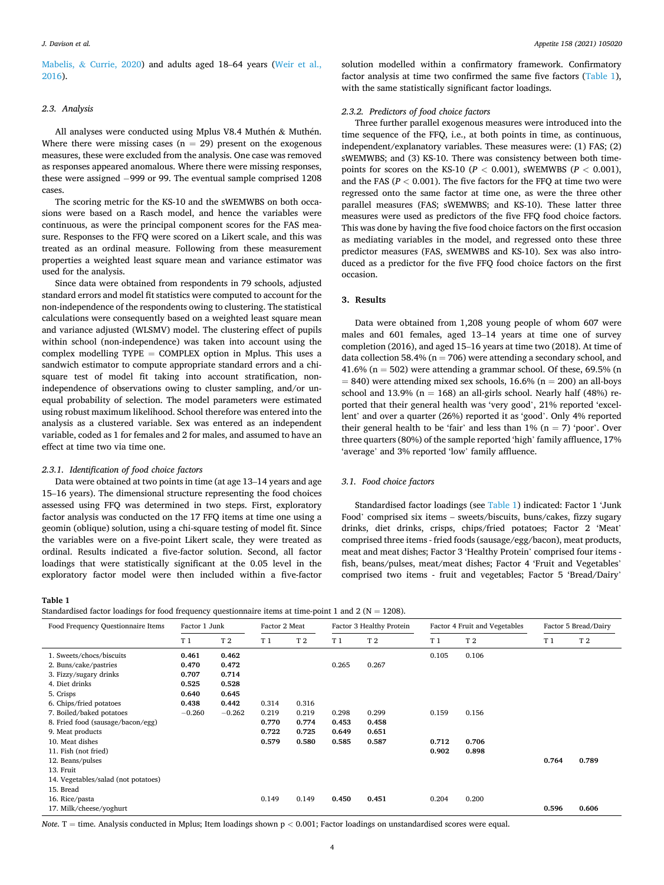<span id="page-3-0"></span>Mabelis, & [Currie, 2020\)](#page-9-0) and adults aged 18–64 years ([Weir et al.,](#page-11-0)  [2016\)](#page-11-0).

## *2.3. Analysis*

All analyses were conducted using Mplus V8.4 Muthén  $\&$  Muthén. Where there were missing cases  $(n = 29)$  present on the exogenous measures, these were excluded from the analysis. One case was removed as responses appeared anomalous. Where there were missing responses, these were assigned − 999 or 99. The eventual sample comprised 1208 cases.

The scoring metric for the KS-10 and the sWEMWBS on both occasions were based on a Rasch model, and hence the variables were continuous, as were the principal component scores for the FAS measure. Responses to the FFQ were scored on a Likert scale, and this was treated as an ordinal measure. Following from these measurement properties a weighted least square mean and variance estimator was used for the analysis.

Since data were obtained from respondents in 79 schools, adjusted standard errors and model fit statistics were computed to account for the non-independence of the respondents owing to clustering. The statistical calculations were consequently based on a weighted least square mean and variance adjusted (WLSMV) model. The clustering effect of pupils within school (non-independence) was taken into account using the complex modelling  $TYPE = COMPLEX$  option in Mplus. This uses a sandwich estimator to compute appropriate standard errors and a chisquare test of model fit taking into account stratification, nonindependence of observations owing to cluster sampling, and/or unequal probability of selection. The model parameters were estimated using robust maximum likelihood. School therefore was entered into the analysis as a clustered variable. Sex was entered as an independent variable, coded as 1 for females and 2 for males, and assumed to have an effect at time two via time one.

## *2.3.1. Identification of food choice factors*

Data were obtained at two points in time (at age 13–14 years and age 15–16 years). The dimensional structure representing the food choices assessed using FFQ was determined in two steps. First, exploratory factor analysis was conducted on the 17 FFQ items at time one using a geomin (oblique) solution, using a chi-square testing of model fit. Since the variables were on a five-point Likert scale, they were treated as ordinal. Results indicated a five-factor solution. Second, all factor loadings that were statistically significant at the 0.05 level in the exploratory factor model were then included within a five-factor

**Table 1** 

Standardised factor loadings for food frequency questionnaire items at time-point 1 and 2 ( $N = 1208$ ).

| Food Frequency Questionnaire Items  | Factor 1 Junk  |                | Factor 2 Meat  |                | Factor 3 Healthy Protein |                | Factor 4 Fruit and Vegetables |                | Factor 5 Bread/Dairy |                |
|-------------------------------------|----------------|----------------|----------------|----------------|--------------------------|----------------|-------------------------------|----------------|----------------------|----------------|
|                                     | T <sub>1</sub> | T <sub>2</sub> | T <sub>1</sub> | T <sub>2</sub> | T <sub>1</sub>           | T <sub>2</sub> | T <sub>1</sub>                | T <sub>2</sub> | T <sub>1</sub>       | T <sub>2</sub> |
| 1. Sweets/chocs/biscuits            | 0.461          | 0.462          |                |                |                          |                | 0.105                         | 0.106          |                      |                |
| 2. Buns/cake/pastries               | 0.470          | 0.472          |                |                | 0.265                    | 0.267          |                               |                |                      |                |
| 3. Fizzy/sugary drinks              | 0.707          | 0.714          |                |                |                          |                |                               |                |                      |                |
| 4. Diet drinks                      | 0.525          | 0.528          |                |                |                          |                |                               |                |                      |                |
| 5. Crisps                           | 0.640          | 0.645          |                |                |                          |                |                               |                |                      |                |
| 6. Chips/fried potatoes             | 0.438          | 0.442          | 0.314          | 0.316          |                          |                |                               |                |                      |                |
| 7. Boiled/baked potatoes            | $-0.260$       | $-0.262$       | 0.219          | 0.219          | 0.298                    | 0.299          | 0.159                         | 0.156          |                      |                |
| 8. Fried food (sausage/bacon/egg)   |                |                | 0.770          | 0.774          | 0.453                    | 0.458          |                               |                |                      |                |
| 9. Meat products                    |                |                | 0.722          | 0.725          | 0.649                    | 0.651          |                               |                |                      |                |
| 10. Meat dishes                     |                |                | 0.579          | 0.580          | 0.585                    | 0.587          | 0.712                         | 0.706          |                      |                |
| 11. Fish (not fried)                |                |                |                |                |                          |                | 0.902                         | 0.898          |                      |                |
| 12. Beans/pulses                    |                |                |                |                |                          |                |                               |                | 0.764                | 0.789          |
| 13. Fruit                           |                |                |                |                |                          |                |                               |                |                      |                |
| 14. Vegetables/salad (not potatoes) |                |                |                |                |                          |                |                               |                |                      |                |
| 15. Bread                           |                |                |                |                |                          |                |                               |                |                      |                |
| 16. Rice/pasta                      |                |                | 0.149          | 0.149          | 0.450                    | 0.451          | 0.204                         | 0.200          |                      |                |
| 17. Milk/cheese/yoghurt             |                |                |                |                |                          |                |                               |                | 0.596                | 0.606          |

*Note*. T = time. Analysis conducted in Mplus; Item loadings shown p < 0.001; Factor loadings on unstandardised scores were equal.

solution modelled within a confirmatory framework. Confirmatory factor analysis at time two confirmed the same five factors (Table 1), with the same statistically significant factor loadings.

## *2.3.2. Predictors of food choice factors*

Three further parallel exogenous measures were introduced into the time sequence of the FFQ, i.e., at both points in time, as continuous, independent/explanatory variables. These measures were: (1) FAS; (2) sWEMWBS; and (3) KS-10. There was consistency between both timepoints for scores on the KS-10 (*P <* 0.001), sWEMWBS (*P <* 0.001), and the FAS (*P <* 0.001). The five factors for the FFQ at time two were regressed onto the same factor at time one, as were the three other parallel measures (FAS; sWEMWBS; and KS-10). These latter three measures were used as predictors of the five FFQ food choice factors. This was done by having the five food choice factors on the first occasion as mediating variables in the model, and regressed onto these three predictor measures (FAS, sWEMWBS and KS-10). Sex was also introduced as a predictor for the five FFQ food choice factors on the first occasion.

## **3. Results**

Data were obtained from 1,208 young people of whom 607 were males and 601 females, aged 13–14 years at time one of survey completion (2016), and aged 15–16 years at time two (2018). At time of data collection 58.4% ( $n = 706$ ) were attending a secondary school, and 41.6% ( $n = 502$ ) were attending a grammar school. Of these, 69.5% (n  $= 840$ ) were attending mixed sex schools, 16.6% (n  $= 200$ ) an all-boys school and 13.9% ( $n = 168$ ) an all-girls school. Nearly half (48%) reported that their general health was 'very good', 21% reported 'excellent' and over a quarter (26%) reported it as 'good'. Only 4% reported their general health to be 'fair' and less than  $1\%$  (n = 7) 'poor'. Over three quarters (80%) of the sample reported 'high' family affluence, 17% 'average' and 3% reported 'low' family affluence.

# *3.1. Food choice factors*

Standardised factor loadings (see Table 1) indicated: Factor 1 'Junk Food' comprised six items – sweets/biscuits, buns/cakes, fizzy sugary drinks, diet drinks, crisps, chips/fried potatoes; Factor 2 'Meat' comprised three items - fried foods (sausage/egg/bacon), meat products, meat and meat dishes; Factor 3 'Healthy Protein' comprised four items fish, beans/pulses, meat/meat dishes; Factor 4 'Fruit and Vegetables' comprised two items - fruit and vegetables; Factor 5 'Bread/Dairy'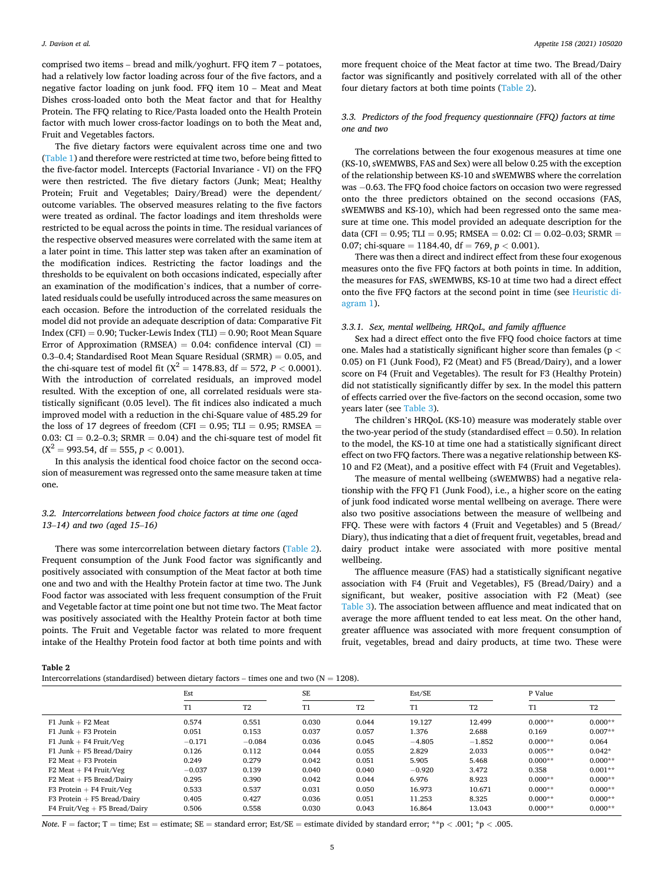comprised two items – bread and milk/yoghurt. FFQ item 7 – potatoes, had a relatively low factor loading across four of the five factors, and a negative factor loading on junk food. FFQ item 10 – Meat and Meat Dishes cross-loaded onto both the Meat factor and that for Healthy Protein. The FFQ relating to Rice/Pasta loaded onto the Health Protein factor with much lower cross-factor loadings on to both the Meat and, Fruit and Vegetables factors.

The five dietary factors were equivalent across time one and two ([Table 1](#page-3-0)) and therefore were restricted at time two, before being fitted to the five-factor model. Intercepts (Factorial Invariance - VI) on the FFQ were then restricted. The five dietary factors (Junk; Meat; Healthy Protein; Fruit and Vegetables; Dairy/Bread) were the dependent/ outcome variables. The observed measures relating to the five factors were treated as ordinal. The factor loadings and item thresholds were restricted to be equal across the points in time. The residual variances of the respective observed measures were correlated with the same item at a later point in time. This latter step was taken after an examination of the modification indices. Restricting the factor loadings and the thresholds to be equivalent on both occasions indicated, especially after an examination of the modification's indices, that a number of correlated residuals could be usefully introduced across the same measures on each occasion. Before the introduction of the correlated residuals the model did not provide an adequate description of data: Comparative Fit Index (CFI) =  $0.90$ ; Tucker-Lewis Index (TLI) =  $0.90$ ; Root Mean Square Error of Approximation (RMSEA) =  $0.04$ : confidence interval (CI) = 0.3–0.4; Standardised Root Mean Square Residual (SRMR) = 0.05, and the chi-square test of model fit ( $X^2 = 1478.83$ , df = 572, *P* < 0.0001). With the introduction of correlated residuals, an improved model resulted. With the exception of one, all correlated residuals were statistically significant (0.05 level). The fit indices also indicated a much improved model with a reduction in the chi-Square value of 485.29 for the loss of 17 degrees of freedom (CFI =  $0.95$ ; TLI =  $0.95$ ; RMSEA = 0.03: CI =  $0.2-0.3$ ; SRMR = 0.04) and the chi-square test of model fit  $(X^2 = 993.54, df = 555, p < 0.001$ .

In this analysis the identical food choice factor on the second occasion of measurement was regressed onto the same measure taken at time one.

# *3.2. Intercorrelations between food choice factors at time one (aged 13*–*14) and two (aged 15*–*16)*

There was some intercorrelation between dietary factors (Table 2). Frequent consumption of the Junk Food factor was significantly and positively associated with consumption of the Meat factor at both time one and two and with the Healthy Protein factor at time two. The Junk Food factor was associated with less frequent consumption of the Fruit and Vegetable factor at time point one but not time two. The Meat factor was positively associated with the Healthy Protein factor at both time points. The Fruit and Vegetable factor was related to more frequent intake of the Healthy Protein food factor at both time points and with

more frequent choice of the Meat factor at time two. The Bread/Dairy factor was significantly and positively correlated with all of the other four dietary factors at both time points (Table 2).

# *3.3. Predictors of the food frequency questionnaire (FFQ) factors at time one and two*

The correlations between the four exogenous measures at time one (KS-10, sWEMWBS, FAS and Sex) were all below 0.25 with the exception of the relationship between KS-10 and sWEMWBS where the correlation was −0.63. The FFQ food choice factors on occasion two were regressed onto the three predictors obtained on the second occasions (FAS, sWEMWBS and KS-10), which had been regressed onto the same measure at time one. This model provided an adequate description for the data (CFI = 0.95; TLI = 0.95; RMSEA = 0.02: CI = 0.02-0.03; SRMR = 0.07; chi-square  $= 1184.40$ , df  $= 769$ ,  $p < 0.001$ ).

There was then a direct and indirect effect from these four exogenous measures onto the five FFQ factors at both points in time. In addition, the measures for FAS, sWEMWBS, KS-10 at time two had a direct effect onto the five FFQ factors at the second point in time (see [Heuristic di](#page-5-0)[agram 1\)](#page-5-0).

## *3.3.1. Sex, mental wellbeing, HRQoL, and family affluence*

Sex had a direct effect onto the five FFQ food choice factors at time one. Males had a statistically significant higher score than females (p *<* 0.05) on F1 (Junk Food), F2 (Meat) and F5 (Bread/Dairy), and a lower score on F4 (Fruit and Vegetables). The result for F3 (Healthy Protein) did not statistically significantly differ by sex. In the model this pattern of effects carried over the five-factors on the second occasion, some two years later (see [Table 3\)](#page-5-0).

The children's HRQoL (KS-10) measure was moderately stable over the two-year period of the study (standardised effect  $= 0.50$ ). In relation to the model, the KS-10 at time one had a statistically significant direct effect on two FFQ factors. There was a negative relationship between KS-10 and F2 (Meat), and a positive effect with F4 (Fruit and Vegetables).

The measure of mental wellbeing (sWEMWBS) had a negative relationship with the FFQ F1 (Junk Food), i.e., a higher score on the eating of junk food indicated worse mental wellbeing on average. There were also two positive associations between the measure of wellbeing and FFQ. These were with factors 4 (Fruit and Vegetables) and 5 (Bread/ Diary), thus indicating that a diet of frequent fruit, vegetables, bread and dairy product intake were associated with more positive mental wellbeing.

The affluence measure (FAS) had a statistically significant negative association with F4 (Fruit and Vegetables), F5 (Bread/Dairy) and a significant, but weaker, positive association with F2 (Meat) (see [Table 3\)](#page-5-0). The association between affluence and meat indicated that on average the more affluent tended to eat less meat. On the other hand, greater affluence was associated with more frequent consumption of fruit, vegetables, bread and dairy products, at time two. These were

#### **Table 2**

| Intercorrelations (standardised) between dietary factors – times one and two $(N = 1208)$ . |  |
|---------------------------------------------------------------------------------------------|--|
|---------------------------------------------------------------------------------------------|--|

|                                 | Est            |                | SE    |                | Est/SE   |                | P Value        |                |
|---------------------------------|----------------|----------------|-------|----------------|----------|----------------|----------------|----------------|
|                                 | T <sub>1</sub> | T <sub>2</sub> | T1    | T <sub>2</sub> | T1       | T <sub>2</sub> | T <sub>1</sub> | T <sub>2</sub> |
| $F1$ Junk + $F2$ Meat           | 0.574          | 0.551          | 0.030 | 0.044          | 19.127   | 12.499         | $0.000**$      | $0.000**$      |
| $F1$ Junk + F3 Protein          | 0.051          | 0.153          | 0.037 | 0.057          | 1.376    | 2.688          | 0.169          | $0.007**$      |
| F1 Junk $+$ F4 Fruit/Veg        | $-0.171$       | $-0.084$       | 0.036 | 0.045          | $-4.805$ | $-1.852$       | $0.000**$      | 0.064          |
| F1 Junk $+$ F5 Bread/Dairy      | 0.126          | 0.112          | 0.044 | 0.055          | 2.829    | 2.033          | $0.005**$      | $0.042*$       |
| $F2$ Meat $+$ F3 Protein        | 0.249          | 0.279          | 0.042 | 0.051          | 5.905    | 5.468          | $0.000**$      | $0.000**$      |
| F2 Meat $+$ F4 Fruit/Veg        | $-0.037$       | 0.139          | 0.040 | 0.040          | $-0.920$ | 3.472          | 0.358          | $0.001**$      |
| F2 Meat $+$ F5 Bread/Dairy      | 0.295          | 0.390          | 0.042 | 0.044          | 6.976    | 8.923          | $0.000**$      | $0.000**$      |
| F3 Protein $+$ F4 Fruit/Veg     | 0.533          | 0.537          | 0.031 | 0.050          | 16.973   | 10.671         | $0.000**$      | $0.000**$      |
| F3 Protein $+$ F5 Bread/Dairy   | 0.405          | 0.427          | 0.036 | 0.051          | 11.253   | 8.325          | $0.000**$      | $0.000**$      |
| F4 Fruit/Veg $+$ F5 Bread/Dairy | 0.506          | 0.558          | 0.030 | 0.043          | 16.864   | 13.043         | $0.000**$      | $0.000**$      |
|                                 |                |                |       |                |          |                |                |                |

*Note*. F = factor; T = time; Est = estimate; SE = standard error; Est/SE = estimate divided by standard error; \*\*p *<* .001; \*p *<* .005.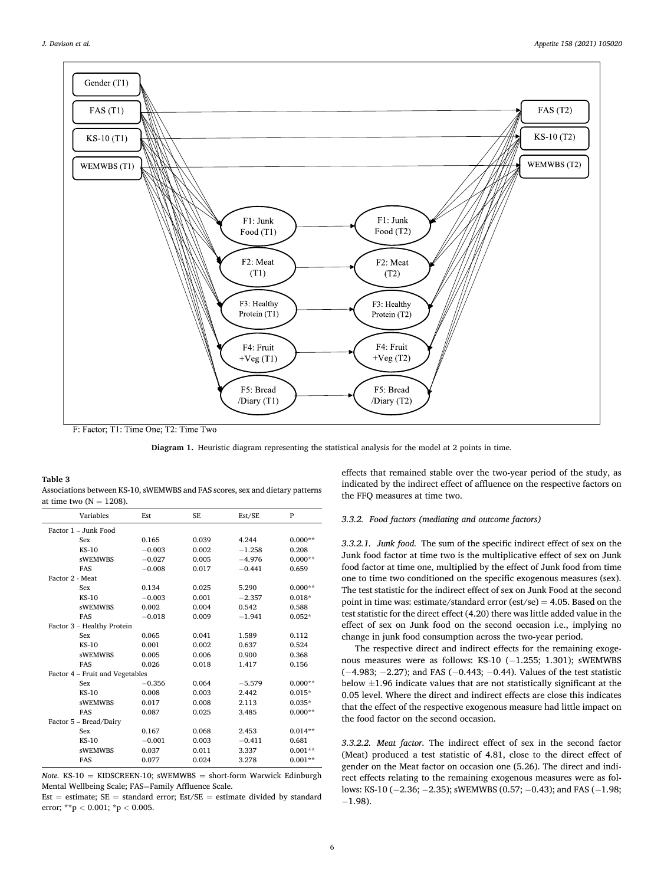<span id="page-5-0"></span>

**Diagram 1.** Heuristic diagram representing the statistical analysis for the model at 2 points in time.

# **Table 3**

| Associations between KS-10, sWEMWBS and FAS scores, sex and dietary patterns |
|------------------------------------------------------------------------------|
| at time two (N $= 1208$ ).                                                   |

|                      | Variables                       | Est      | <b>SE</b> | Est/SE   | P         |  |  |  |  |
|----------------------|---------------------------------|----------|-----------|----------|-----------|--|--|--|--|
| Factor 1 - Junk Food |                                 |          |           |          |           |  |  |  |  |
|                      | Sex                             | 0.165    | 0.039     | 4.244    | $0.000**$ |  |  |  |  |
|                      | $KS-10$                         | $-0.003$ | 0.002     | $-1.258$ | 0.208     |  |  |  |  |
|                      | <b>sWEMWBS</b>                  | $-0.027$ | 0.005     | $-4.976$ | $0.000**$ |  |  |  |  |
|                      | FAS                             | $-0.008$ | 0.017     | $-0.441$ | 0.659     |  |  |  |  |
|                      | Factor 2 - Meat                 |          |           |          |           |  |  |  |  |
|                      | Sex                             | 0.134    | 0.025     | 5.290    | $0.000**$ |  |  |  |  |
|                      | $KS-10$                         | $-0.003$ | 0.001     | $-2.357$ | $0.018*$  |  |  |  |  |
|                      | <b>sWEMWBS</b>                  | 0.002    | 0.004     | 0.542    | 0.588     |  |  |  |  |
|                      | FAS                             | $-0.018$ | 0.009     | $-1.941$ | $0.052*$  |  |  |  |  |
|                      | Factor 3 - Healthy Protein      |          |           |          |           |  |  |  |  |
|                      | Sex                             | 0.065    | 0.041     | 1.589    | 0.112     |  |  |  |  |
|                      | $KS-10$                         | 0.001    | 0.002     | 0.637    | 0.524     |  |  |  |  |
|                      | <b>sWEMWBS</b>                  | 0.005    | 0.006     | 0.900    | 0.368     |  |  |  |  |
|                      | <b>FAS</b>                      | 0.026    | 0.018     | 1.417    | 0.156     |  |  |  |  |
|                      | Factor 4 – Fruit and Vegetables |          |           |          |           |  |  |  |  |
|                      | Sex                             | $-0.356$ | 0.064     | $-5.579$ | $0.000**$ |  |  |  |  |
|                      | $KS-10$                         | 0.008    | 0.003     | 2.442    | $0.015*$  |  |  |  |  |
|                      | <b>sWEMWBS</b>                  | 0.017    | 0.008     | 2.113    | $0.035*$  |  |  |  |  |
|                      | <b>FAS</b>                      | 0.087    | 0.025     | 3.485    | $0.000**$ |  |  |  |  |
|                      | Factor 5 - Bread/Dairy          |          |           |          |           |  |  |  |  |
|                      | Sex                             | 0.167    | 0.068     | 2.453    | $0.014**$ |  |  |  |  |
|                      | $KS-10$                         | $-0.001$ | 0.003     | $-0.411$ | 0.681     |  |  |  |  |
|                      | <b>sWEMWBS</b>                  | 0.037    | 0.011     | 3.337    | $0.001**$ |  |  |  |  |
|                      | FAS                             | 0.077    | 0.024     | 3.278    | $0.001**$ |  |  |  |  |

*Note.* KS-10 = KIDSCREEN-10; sWEMWBS = short-form Warwick Edinburgh Mental Wellbeing Scale; FAS=Family Affluence Scale.

Est = estimate;  $SE$  = standard error;  $Est/SE$  = estimate divided by standard error; \*\*p *<* 0.001; \*p *<* 0.005.

effects that remained stable over the two-year period of the study, as indicated by the indirect effect of affluence on the respective factors on the FFQ measures at time two.

# *3.3.2. Food factors (mediating and outcome factors)*

*3.3.2.1. Junk food.* The sum of the specific indirect effect of sex on the Junk food factor at time two is the multiplicative effect of sex on Junk food factor at time one, multiplied by the effect of Junk food from time one to time two conditioned on the specific exogenous measures (sex). The test statistic for the indirect effect of sex on Junk Food at the second point in time was: estimate/standard error (est/se) =  $4.05$ . Based on the test statistic for the direct effect (4.20) there was little added value in the effect of sex on Junk food on the second occasion i.e., implying no change in junk food consumption across the two-year period.

The respective direct and indirect effects for the remaining exogenous measures were as follows: KS-10 (-1.255; 1.301); sWEMWBS (− 4.983; − 2.27); and FAS (− 0.443; − 0.44). Values of the test statistic below ±1.96 indicate values that are not statistically significant at the 0.05 level. Where the direct and indirect effects are close this indicates that the effect of the respective exogenous measure had little impact on the food factor on the second occasion.

*3.3.2.2. Meat factor.* The indirect effect of sex in the second factor (Meat) produced a test statistic of 4.81, close to the direct effect of gender on the Meat factor on occasion one (5.26). The direct and indirect effects relating to the remaining exogenous measures were as follows: KS-10 (-2.36; -2.35); sWEMWBS (0.57; -0.43); and FAS (-1.98;  $-1.98$ ).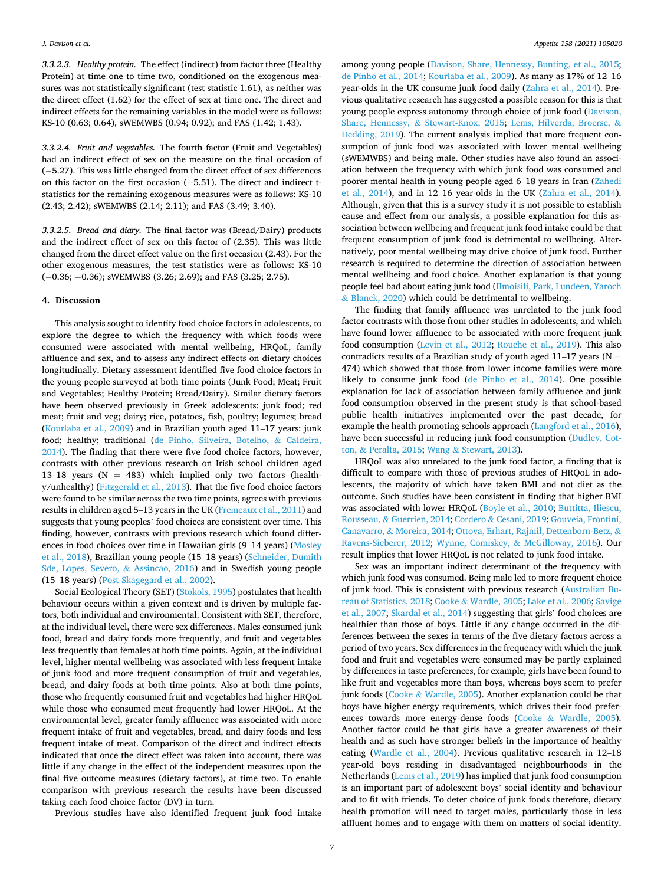*3.3.2.3. Healthy protein.* The effect (indirect) from factor three (Healthy Protein) at time one to time two, conditioned on the exogenous measures was not statistically significant (test statistic 1.61), as neither was the direct effect (1.62) for the effect of sex at time one. The direct and indirect effects for the remaining variables in the model were as follows: KS-10 (0.63; 0.64), sWEMWBS (0.94; 0.92); and FAS (1.42; 1.43).

*3.3.2.4. Fruit and vegetables.* The fourth factor (Fruit and Vegetables) had an indirect effect of sex on the measure on the final occasion of (− 5.27). This was little changed from the direct effect of sex differences on this factor on the first occasion (− 5.51). The direct and indirect tstatistics for the remaining exogenous measures were as follows: KS-10 (2.43; 2.42); sWEMWBS (2.14; 2.11); and FAS (3.49; 3.40).

*3.3.2.5. Bread and diary.* The final factor was (Bread/Dairy) products and the indirect effect of sex on this factor of (2.35). This was little changed from the direct effect value on the first occasion (2.43). For the other exogenous measures, the test statistics were as follows: KS-10 (− 0.36; − 0.36); sWEMWBS (3.26; 2.69); and FAS (3.25; 2.75).

## **4. Discussion**

This analysis sought to identify food choice factors in adolescents, to explore the degree to which the frequency with which foods were consumed were associated with mental wellbeing, HRQoL, family affluence and sex, and to assess any indirect effects on dietary choices longitudinally. Dietary assessment identified five food choice factors in the young people surveyed at both time points (Junk Food; Meat; Fruit and Vegetables; Healthy Protein; Bread/Dairy). Similar dietary factors have been observed previously in Greek adolescents: junk food; red meat; fruit and veg; dairy; rice, potatoes, fish, poultry; legumes; bread ([Kourlaba et al., 2009](#page-10-0)) and in Brazilian youth aged 11–17 years: junk food; healthy; traditional [\(de Pinho, Silveira, Botelho,](#page-10-0) & Caldeira, [2014\)](#page-10-0). The finding that there were five food choice factors, however, contrasts with other previous research on Irish school children aged 13–18 years ( $N = 483$ ) which implied only two factors (healthy/unhealthy) ([Fitzgerald et al., 2013](#page-9-0)). That the five food choice factors were found to be similar across the two time points, agrees with previous results in children aged 5–13 years in the UK ([Fremeaux et al., 2011\)](#page-9-0) and suggests that young peoples' food choices are consistent over time. This finding, however, contrasts with previous research which found differences in food choices over time in Hawaiian girls (9–14 years) ([Mosley](#page-10-0)  [et al., 2018\)](#page-10-0), Brazilian young people (15–18 years) ([Schneider, Dumith](#page-10-0)  [Sde, Lopes, Severo,](#page-10-0) & Assincao, 2016) and in Swedish young people (15–18 years) ([Post-Skagegard et al., 2002](#page-10-0)).

Social Ecological Theory (SET) [\(Stokols, 1995\)](#page-10-0) postulates that health behaviour occurs within a given context and is driven by multiple factors, both individual and environmental. Consistent with SET, therefore, at the individual level, there were sex differences. Males consumed junk food, bread and dairy foods more frequently, and fruit and vegetables less frequently than females at both time points. Again, at the individual level, higher mental wellbeing was associated with less frequent intake of junk food and more frequent consumption of fruit and vegetables, bread, and dairy foods at both time points. Also at both time points, those who frequently consumed fruit and vegetables had higher HRQoL while those who consumed meat frequently had lower HRQoL. At the environmental level, greater family affluence was associated with more frequent intake of fruit and vegetables, bread, and dairy foods and less frequent intake of meat. Comparison of the direct and indirect effects indicated that once the direct effect was taken into account, there was little if any change in the effect of the independent measures upon the final five outcome measures (dietary factors), at time two. To enable comparison with previous research the results have been discussed taking each food choice factor (DV) in turn.

Previous studies have also identified frequent junk food intake

among young people [\(Davison, Share, Hennessy, Bunting, et al., 2015](#page-9-0); [de Pinho et al., 2014; Kourlaba et al., 2009\)](#page-10-0). As many as 17% of 12–16 year-olds in the UK consume junk food daily ([Zahra et al., 2014\)](#page-11-0). Previous qualitative research has suggested a possible reason for this is that young people express autonomy through choice of junk food [\(Davison,](#page-9-0)  Share, Hennessy, & [Stewart-Knox, 2015;](#page-9-0) [Lems, Hilverda, Broerse,](#page-10-0) & [Dedding, 2019](#page-10-0)). The current analysis implied that more frequent consumption of junk food was associated with lower mental wellbeing (sWEMWBS) and being male. Other studies have also found an association between the frequency with which junk food was consumed and poorer mental health in young people aged 6–18 years in Iran ([Zahedi](#page-11-0)  [et al., 2014\)](#page-11-0), and in 12–16 year-olds in the UK ([Zahra et al., 2014](#page-11-0)). Although, given that this is a survey study it is not possible to establish cause and effect from our analysis, a possible explanation for this association between wellbeing and frequent junk food intake could be that frequent consumption of junk food is detrimental to wellbeing. Alternatively, poor mental wellbeing may drive choice of junk food. Further research is required to determine the direction of association between mental wellbeing and food choice. Another explanation is that young people feel bad about eating junk food [\(IImoisili, Park, Lundeen, Yaroch](#page-9-0)   $&$  [Blanck, 2020](#page-9-0)) which could be detrimental to wellbeing.

The finding that family affluence was unrelated to the junk food factor contrasts with those from other studies in adolescents, and which have found lower affluence to be associated with more frequent junk food consumption [\(Levin et al., 2012](#page-10-0); [Rouche et al., 2019](#page-10-0)). This also contradicts results of a Brazilian study of youth aged  $11-17$  years (N = 474) which showed that those from lower income families were more likely to consume junk food ([de Pinho et al., 2014](#page-10-0)). One possible explanation for lack of association between family affluence and junk food consumption observed in the present study is that school-based public health initiatives implemented over the past decade, for example the health promoting schools approach ([Langford et al., 2016](#page-10-0)), have been successful in reducing junk food consumption [\(Dudley, Cot](#page-9-0)ton, & [Peralta, 2015;](#page-9-0) Wang & [Stewart, 2013](#page-11-0)).

HRQoL was also unrelated to the junk food factor, a finding that is difficult to compare with those of previous studies of HRQoL in adolescents, the majority of which have taken BMI and not diet as the outcome. Such studies have been consistent in finding that higher BMI was associated with lower HRQoL ([Boyle et al., 2010](#page-9-0); [Buttitta, Iliescu,](#page-9-0)  Rousseau, & [Guerrien, 2014;](#page-9-0) Cordero & [Cesani, 2019](#page-9-0); [Gouveia, Frontini,](#page-9-0)  Canavarro, & [Moreira, 2014;](#page-9-0) [Ottova, Erhart, Rajmil, Dettenborn-Betz,](#page-10-0) & [Ravens-Sieberer, 2012](#page-10-0); [Wynne, Comiskey,](#page-11-0) & McGilloway, 2016). Our result implies that lower HRQoL is not related to junk food intake.

Sex was an important indirect determinant of the frequency with which junk food was consumed. Being male led to more frequent choice of junk food. This is consistent with previous research ([Australian Bu](#page-9-0)[reau of Statistics, 2018](#page-9-0); Cooke & [Wardle, 2005](#page-9-0); [Lake et al., 2006; Savige](#page-10-0)  [et al., 2007; Skardal et al., 2014\)](#page-10-0) suggesting that girls' food choices are healthier than those of boys. Little if any change occurred in the differences between the sexes in terms of the five dietary factors across a period of two years. Sex differences in the frequency with which the junk food and fruit and vegetables were consumed may be partly explained by differences in taste preferences, for example, girls have been found to like fruit and vegetables more than boys, whereas boys seem to prefer junk foods (Cooke & [Wardle, 2005](#page-9-0)). Another explanation could be that boys have higher energy requirements, which drives their food preferences towards more energy-dense foods (Cooke & [Wardle, 2005](#page-9-0)). Another factor could be that girls have a greater awareness of their health and as such have stronger beliefs in the importance of healthy eating [\(Wardle et al., 2004](#page-11-0)). Previous qualitative research in 12–18 year-old boys residing in disadvantaged neighbourhoods in the Netherlands [\(Lems et al., 2019](#page-10-0)) has implied that junk food consumption is an important part of adolescent boys' social identity and behaviour and to fit with friends. To deter choice of junk foods therefore, dietary health promotion will need to target males, particularly those in less affluent homes and to engage with them on matters of social identity.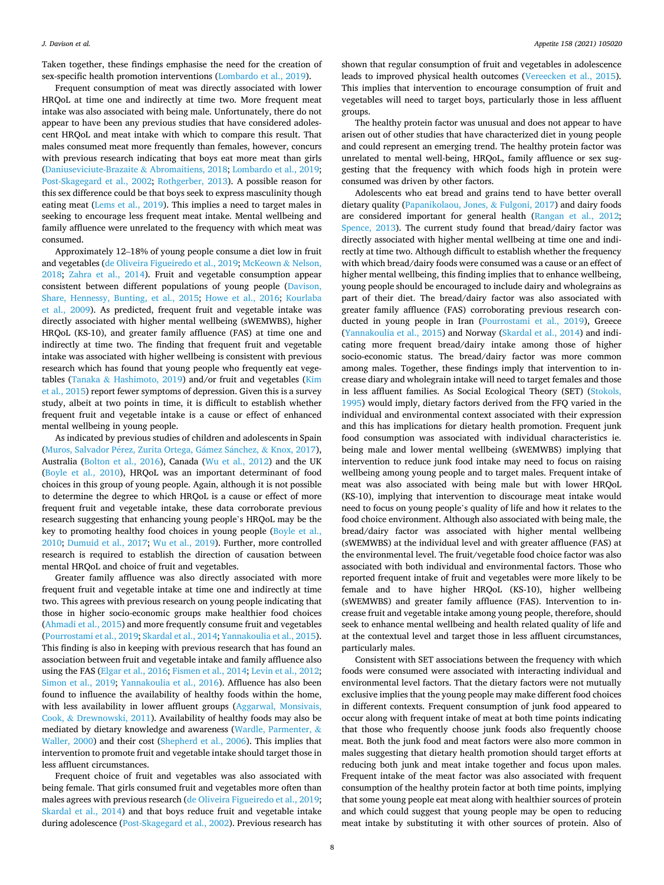Taken together, these findings emphasise the need for the creation of sex-specific health promotion interventions ([Lombardo et al., 2019](#page-10-0)).

Frequent consumption of meat was directly associated with lower HRQoL at time one and indirectly at time two. More frequent meat intake was also associated with being male. Unfortunately, there do not appear to have been any previous studies that have considered adolescent HRQoL and meat intake with which to compare this result. That males consumed meat more frequently than females, however, concurs with previous research indicating that boys eat more meat than girls ([Daniuseviciute-Brazaite](#page-9-0) & Abromaitiens, 2018; [Lombardo et al., 2019](#page-10-0); [Post-Skagegard et al., 2002](#page-10-0); [Rothgerber, 2013](#page-10-0)). A possible reason for this sex difference could be that boys seek to express masculinity though eating meat [\(Lems et al., 2019](#page-10-0)). This implies a need to target males in seeking to encourage less frequent meat intake. Mental wellbeing and family affluence were unrelated to the frequency with which meat was consumed.

Approximately 12–18% of young people consume a diet low in fruit and vegetables [\(de Oliveira Figueiredo et al., 2019; McKeown](#page-10-0) & Nelson, [2018;](#page-10-0) [Zahra et al., 2014\)](#page-11-0). Fruit and vegetable consumption appear consistent between different populations of young people [\(Davison,](#page-9-0)  [Share, Hennessy, Bunting, et al., 2015](#page-9-0); [Howe et al., 2016;](#page-9-0) [Kourlaba](#page-10-0)  [et al., 2009\)](#page-10-0). As predicted, frequent fruit and vegetable intake was directly associated with higher mental wellbeing (sWEMWBS), higher HRQoL (KS-10), and greater family affluence (FAS) at time one and indirectly at time two. The finding that frequent fruit and vegetable intake was associated with higher wellbeing is consistent with previous research which has found that young people who frequently eat vegetables (Tanaka & [Hashimoto, 2019\)](#page-10-0) and/or fruit and vegetables [\(Kim](#page-10-0)  [et al., 2015\)](#page-10-0) report fewer symptoms of depression. Given this is a survey study, albeit at two points in time, it is difficult to establish whether frequent fruit and vegetable intake is a cause or effect of enhanced mental wellbeing in young people.

As indicated by previous studies of children and adolescents in Spain (Muros, Salvador Pérez, Zurita Ortega, Gámez Sánchez, & Knox, 2017), Australia ([Bolton et al., 2016\)](#page-9-0), Canada [\(Wu et al., 2012](#page-11-0)) and the UK ([Boyle et al., 2010](#page-9-0)), HRQoL was an important determinant of food choices in this group of young people. Again, although it is not possible to determine the degree to which HRQoL is a cause or effect of more frequent fruit and vegetable intake, these data corroborate previous research suggesting that enhancing young people's HRQoL may be the key to promoting healthy food choices in young people [\(Boyle et al.,](#page-9-0)  [2010; Dumuid et al., 2017](#page-9-0); [Wu et al., 2019\)](#page-11-0). Further, more controlled research is required to establish the direction of causation between mental HRQoL and choice of fruit and vegetables.

Greater family affluence was also directly associated with more frequent fruit and vegetable intake at time one and indirectly at time two. This agrees with previous research on young people indicating that those in higher socio-economic groups make healthier food choices ([Ahmadi et al., 2015](#page-9-0)) and more frequently consume fruit and vegetables ([Pourrostami et al., 2019](#page-10-0); [Skardal et al., 2014](#page-10-0); [Yannakoulia et al., 2015](#page-11-0)). This finding is also in keeping with previous research that has found an association between fruit and vegetable intake and family affluence also using the FAS ([Elgar et al., 2016](#page-9-0); [Fismen et al., 2014](#page-9-0); [Levin et al., 2012](#page-10-0); [Simon et al., 2019;](#page-10-0) [Yannakoulia et al., 2016](#page-11-0)). Affluence has also been found to influence the availability of healthy foods within the home, with less availability in lower affluent groups ([Aggarwal, Monsivais,](#page-9-0)  Cook, & [Drewnowski, 2011](#page-9-0)). Availability of healthy foods may also be mediated by dietary knowledge and awareness ([Wardle, Parmenter,](#page-11-0) & [Waller, 2000\)](#page-11-0) and their cost [\(Shepherd et al., 2006\)](#page-10-0). This implies that intervention to promote fruit and vegetable intake should target those in less affluent circumstances.

Frequent choice of fruit and vegetables was also associated with being female. That girls consumed fruit and vegetables more often than males agrees with previous research ([de Oliveira Figueiredo et al., 2019](#page-10-0); [Skardal et al., 2014](#page-10-0)) and that boys reduce fruit and vegetable intake during adolescence [\(Post-Skagegard et al., 2002\)](#page-10-0). Previous research has

shown that regular consumption of fruit and vegetables in adolescence leads to improved physical health outcomes [\(Vereecken et al., 2015](#page-10-0)). This implies that intervention to encourage consumption of fruit and vegetables will need to target boys, particularly those in less affluent groups.

The healthy protein factor was unusual and does not appear to have arisen out of other studies that have characterized diet in young people and could represent an emerging trend. The healthy protein factor was unrelated to mental well-being, HRQoL, family affluence or sex suggesting that the frequency with which foods high in protein were consumed was driven by other factors.

Adolescents who eat bread and grains tend to have better overall dietary quality ([Papanikolaou, Jones,](#page-10-0) & Fulgoni, 2017) and dairy foods are considered important for general health ([Rangan et al., 2012](#page-10-0); [Spence, 2013](#page-10-0)). The current study found that bread/dairy factor was directly associated with higher mental wellbeing at time one and indirectly at time two. Although difficult to establish whether the frequency with which bread/dairy foods were consumed was a cause or an effect of higher mental wellbeing, this finding implies that to enhance wellbeing, young people should be encouraged to include dairy and wholegrains as part of their diet. The bread/dairy factor was also associated with greater family affluence (FAS) corroborating previous research conducted in young people in Iran ([Pourrostami et al., 2019](#page-10-0)), Greece ([Yannakoulia et al., 2015\)](#page-11-0) and Norway ([Skardal et al., 2014](#page-10-0)) and indicating more frequent bread/dairy intake among those of higher socio-economic status. The bread/dairy factor was more common among males. Together, these findings imply that intervention to increase diary and wholegrain intake will need to target females and those in less affluent families. As Social Ecological Theory (SET) [\(Stokols,](#page-10-0)  [1995\)](#page-10-0) would imply, dietary factors derived from the FFQ varied in the individual and environmental context associated with their expression and this has implications for dietary health promotion. Frequent junk food consumption was associated with individual characteristics ie. being male and lower mental wellbeing (sWEMWBS) implying that intervention to reduce junk food intake may need to focus on raising wellbeing among young people and to target males. Frequent intake of meat was also associated with being male but with lower HRQoL (KS-10), implying that intervention to discourage meat intake would need to focus on young people's quality of life and how it relates to the food choice environment. Although also associated with being male, the bread/dairy factor was associated with higher mental wellbeing (sWEMWBS) at the individual level and with greater affluence (FAS) at the environmental level. The fruit/vegetable food choice factor was also associated with both individual and environmental factors. Those who reported frequent intake of fruit and vegetables were more likely to be female and to have higher HRQoL (KS-10), higher wellbeing (sWEMWBS) and greater family affluence (FAS). Intervention to increase fruit and vegetable intake among young people, therefore, should seek to enhance mental wellbeing and health related quality of life and at the contextual level and target those in less affluent circumstances, particularly males.

Consistent with SET associations between the frequency with which foods were consumed were associated with interacting individual and environmental level factors. That the dietary factors were not mutually exclusive implies that the young people may make different food choices in different contexts. Frequent consumption of junk food appeared to occur along with frequent intake of meat at both time points indicating that those who frequently choose junk foods also frequently choose meat. Both the junk food and meat factors were also more common in males suggesting that dietary health promotion should target efforts at reducing both junk and meat intake together and focus upon males. Frequent intake of the meat factor was also associated with frequent consumption of the healthy protein factor at both time points, implying that some young people eat meat along with healthier sources of protein and which could suggest that young people may be open to reducing meat intake by substituting it with other sources of protein. Also of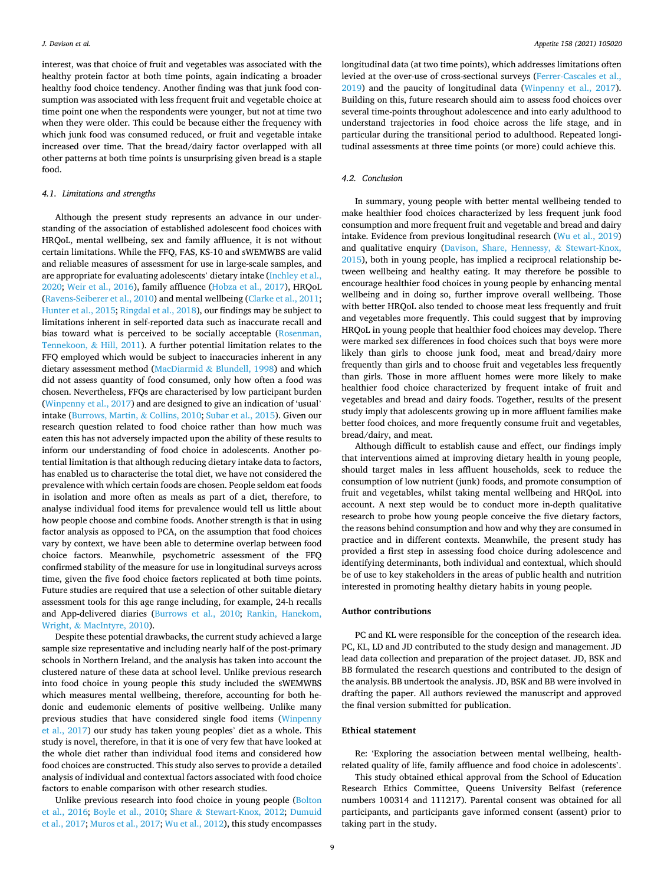interest, was that choice of fruit and vegetables was associated with the healthy protein factor at both time points, again indicating a broader healthy food choice tendency. Another finding was that junk food consumption was associated with less frequent fruit and vegetable choice at time point one when the respondents were younger, but not at time two when they were older. This could be because either the frequency with which junk food was consumed reduced, or fruit and vegetable intake increased over time. That the bread/dairy factor overlapped with all other patterns at both time points is unsurprising given bread is a staple food.

## *4.1. Limitations and strengths*

Although the present study represents an advance in our understanding of the association of established adolescent food choices with HRQoL, mental wellbeing, sex and family affluence, it is not without certain limitations. While the FFQ, FAS, KS-10 and sWEMWBS are valid and reliable measures of assessment for use in large-scale samples, and are appropriate for evaluating adolescents' dietary intake ([Inchley et al.,](#page-9-0)  [2020;](#page-9-0) [Weir et al., 2016\)](#page-11-0), family affluence [\(Hobza et al., 2017](#page-9-0)), HRQoL ([Ravens-Seiberer et al., 2010\)](#page-10-0) and mental wellbeing ([Clarke et al., 2011](#page-9-0); [Hunter et al., 2015;](#page-9-0) [Ringdal et al., 2018](#page-10-0)), our findings may be subject to limitations inherent in self-reported data such as inaccurate recall and bias toward what is perceived to be socially acceptable [\(Rosenman,](#page-10-0)  [Tennekoon,](#page-10-0) & Hill, 2011). A further potential limitation relates to the FFQ employed which would be subject to inaccuracies inherent in any dietary assessment method (MacDiarmid & [Blundell, 1998\)](#page-10-0) and which did not assess quantity of food consumed, only how often a food was chosen. Nevertheless, FFQs are characterised by low participant burden ([Winpenny et al., 2017\)](#page-11-0) and are designed to give an indication of 'usual' intake ([Burrows, Martin,](#page-9-0) & Collins, 2010; [Subar et al., 2015\)](#page-10-0). Given our research question related to food choice rather than how much was eaten this has not adversely impacted upon the ability of these results to inform our understanding of food choice in adolescents. Another potential limitation is that although reducing dietary intake data to factors, has enabled us to characterise the total diet, we have not considered the prevalence with which certain foods are chosen. People seldom eat foods in isolation and more often as meals as part of a diet, therefore, to analyse individual food items for prevalence would tell us little about how people choose and combine foods. Another strength is that in using factor analysis as opposed to PCA, on the assumption that food choices vary by context, we have been able to determine overlap between food choice factors. Meanwhile, psychometric assessment of the FFQ confirmed stability of the measure for use in longitudinal surveys across time, given the five food choice factors replicated at both time points. Future studies are required that use a selection of other suitable dietary assessment tools for this age range including, for example, 24-h recalls and App-delivered diaries ([Burrows et al., 2010](#page-9-0); [Rankin, Hanekom,](#page-10-0)  Wright, & [MacIntyre, 2010\)](#page-10-0).

Despite these potential drawbacks, the current study achieved a large sample size representative and including nearly half of the post-primary schools in Northern Ireland, and the analysis has taken into account the clustered nature of these data at school level. Unlike previous research into food choice in young people this study included the sWEMWBS which measures mental wellbeing, therefore, accounting for both hedonic and eudemonic elements of positive wellbeing. Unlike many previous studies that have considered single food items ([Winpenny](#page-11-0)  [et al., 2017\)](#page-11-0) our study has taken young peoples' diet as a whole. This study is novel, therefore, in that it is one of very few that have looked at the whole diet rather than individual food items and considered how food choices are constructed. This study also serves to provide a detailed analysis of individual and contextual factors associated with food choice factors to enable comparison with other research studies.

Unlike previous research into food choice in young people ([Bolton](#page-9-0)  [et al., 2016;](#page-9-0) [Boyle et al., 2010;](#page-9-0) Share & [Stewart-Knox, 2012](#page-10-0); [Dumuid](#page-9-0)  [et al., 2017;](#page-9-0) [Muros et al., 2017;](#page-10-0) [Wu et al., 2012\)](#page-11-0), this study encompasses

longitudinal data (at two time points), which addresses limitations often levied at the over-use of cross-sectional surveys [\(Ferrer-Cascales et al.,](#page-9-0)  [2019\)](#page-9-0) and the paucity of longitudinal data ([Winpenny et al., 2017](#page-11-0)). Building on this, future research should aim to assess food choices over several time-points throughout adolescence and into early adulthood to understand trajectories in food choice across the life stage, and in particular during the transitional period to adulthood. Repeated longitudinal assessments at three time points (or more) could achieve this.

# *4.2. Conclusion*

In summary, young people with better mental wellbeing tended to make healthier food choices characterized by less frequent junk food consumption and more frequent fruit and vegetable and bread and dairy intake. Evidence from previous longitudinal research ([Wu et al., 2019\)](#page-11-0) and qualitative enquiry ([Davison, Share, Hennessy,](#page-9-0) & Stewart-Knox, [2015\)](#page-9-0), both in young people, has implied a reciprocal relationship between wellbeing and healthy eating. It may therefore be possible to encourage healthier food choices in young people by enhancing mental wellbeing and in doing so, further improve overall wellbeing. Those with better HRQoL also tended to choose meat less frequently and fruit and vegetables more frequently. This could suggest that by improving HRQoL in young people that healthier food choices may develop. There were marked sex differences in food choices such that boys were more likely than girls to choose junk food, meat and bread/dairy more frequently than girls and to choose fruit and vegetables less frequently than girls. Those in more affluent homes were more likely to make healthier food choice characterized by frequent intake of fruit and vegetables and bread and dairy foods. Together, results of the present study imply that adolescents growing up in more affluent families make better food choices, and more frequently consume fruit and vegetables, bread/dairy, and meat.

Although difficult to establish cause and effect, our findings imply that interventions aimed at improving dietary health in young people, should target males in less affluent households, seek to reduce the consumption of low nutrient (junk) foods, and promote consumption of fruit and vegetables, whilst taking mental wellbeing and HRQoL into account. A next step would be to conduct more in-depth qualitative research to probe how young people conceive the five dietary factors, the reasons behind consumption and how and why they are consumed in practice and in different contexts. Meanwhile, the present study has provided a first step in assessing food choice during adolescence and identifying determinants, both individual and contextual, which should be of use to key stakeholders in the areas of public health and nutrition interested in promoting healthy dietary habits in young people.

#### **Author contributions**

PC and KL were responsible for the conception of the research idea. PC, KL, LD and JD contributed to the study design and management. JD lead data collection and preparation of the project dataset. JD, BSK and BB formulated the research questions and contributed to the design of the analysis. BB undertook the analysis. JD, BSK and BB were involved in drafting the paper. All authors reviewed the manuscript and approved the final version submitted for publication.

#### **Ethical statement**

Re: 'Exploring the association between mental wellbeing, healthrelated quality of life, family affluence and food choice in adolescents'.

This study obtained ethical approval from the School of Education Research Ethics Committee, Queens University Belfast (reference numbers 100314 and 111217). Parental consent was obtained for all participants, and participants gave informed consent (assent) prior to taking part in the study.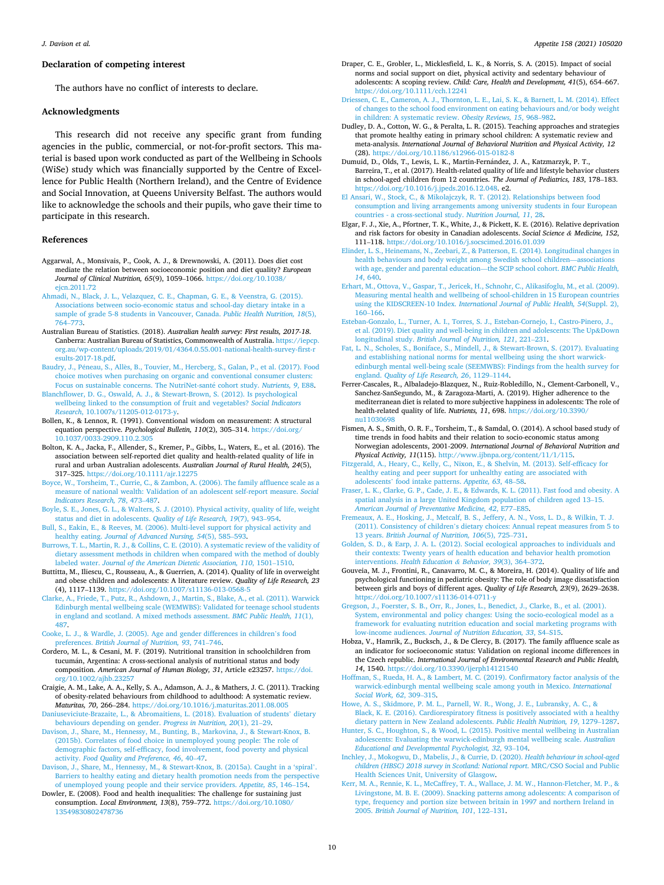#### <span id="page-9-0"></span>**Declaration of competing interest**

The authors have no conflict of interests to declare.

## **Acknowledgments**

This research did not receive any specific grant from funding agencies in the public, commercial, or not-for-profit sectors. This material is based upon work conducted as part of the Wellbeing in Schools (WiSe) study which was financially supported by the Centre of Excellence for Public Health (Northern Ireland), and the Centre of Evidence and Social Innovation, at Queens University Belfast. The authors would like to acknowledge the schools and their pupils, who gave their time to participate in this research.

#### **References**

- Aggarwal, A., Monsivais, P., Cook, A. J., & Drewnowski, A. (2011). Does diet cost mediate the relation between socioeconomic position and diet quality? *European Journal of Clinical Nutrition, 65*(9), 1059–1066. [https://doi.org/10.1038/](https://doi.org/10.1038/ejcn.2011.72)  [ejcn.2011.72](https://doi.org/10.1038/ejcn.2011.72)
- [Ahmadi, N., Black, J. L., Velazquez, C. E., Chapman, G. E., & Veenstra, G. \(2015\).](http://refhub.elsevier.com/S0195-6663(20)31642-1/sref2)  Associations between socio-economic status and school-day dietary intake in a [sample of grade 5-8 students in Vancouver, Canada.](http://refhub.elsevier.com/S0195-6663(20)31642-1/sref2) *Public Health Nutrition, 18*(5), 764–[773](http://refhub.elsevier.com/S0195-6663(20)31642-1/sref2).
- Australian Bureau of Statistics. (2018). *Australian health survey: First results, 2017-18*. Canberra: Australian Bureau of Statistics, Commonwealth of Australia. [https://iepcp.](https://iepcp.org.au/wp-content/uploads/2019/01/4364.0.55.001-national-health-survey-first-results-2017-18.pdf)  [org.au/wp-content/uploads/2019/01/4364.0.55.001-national-health-survey-first-r](https://iepcp.org.au/wp-content/uploads/2019/01/4364.0.55.001-national-health-survey-first-results-2017-18.pdf)  [esults-2017-18.pdf](https://iepcp.org.au/wp-content/uploads/2019/01/4364.0.55.001-national-health-survey-first-results-2017-18.pdf).
- Baudry, J., Péneau, S., Allès, B., Touvier, M., Hercberg, S., Galan, P., et al. (2017). Food [choice motives when purchasing on organic and conventional consumer clusters:](http://refhub.elsevier.com/S0195-6663(20)31642-1/sref4)  [Focus on sustainable concerns. The NutriNet-sant](http://refhub.elsevier.com/S0195-6663(20)31642-1/sref4)é cohort study. *Nutrients*, 9, E88.
- [Blanchflower, D. G., Oswald, A. J., & Stewart-Brown, S. \(2012\). Is psychological](http://refhub.elsevier.com/S0195-6663(20)31642-1/sref5)  [wellbeing linked to the consumption of fruit and vegetables?](http://refhub.elsevier.com/S0195-6663(20)31642-1/sref5) *Social Indicators Research*[, 10.1007s/11205-012-0173-y.](http://refhub.elsevier.com/S0195-6663(20)31642-1/sref5)
- Bollen, K., & Lennox, R. (1991). Conventional wisdom on measurement: A structural equation perspective. *Psychological Bulletin, 110*(2), 305–314. [https://doi.org/](https://doi.org/10.1037/0033-2909.110.2.305) [10.1037/0033-2909.110.2.305](https://doi.org/10.1037/0033-2909.110.2.305)
- Bolton, K. A., Jacka, F., Allender, S., Kremer, P., Gibbs, L., Waters, E., et al. (2016). The association between self-reported diet quality and health-related quality of life in rural and urban Australian adolescents. *Australian Journal of Rural Health, 24*(5), 317–325. <https://doi.org/10.1111/ajr.12275>
- [Boyce, W., Torsheim, T., Currie, C., & Zambon, A. \(2006\). The family affluence scale as a](http://refhub.elsevier.com/S0195-6663(20)31642-1/sref8)  [measure of national wealth: Validation of an adolescent self-report measure.](http://refhub.elsevier.com/S0195-6663(20)31642-1/sref8) *Social [Indicators Research, 78](http://refhub.elsevier.com/S0195-6663(20)31642-1/sref8)*, 473–487.
- [Boyle, S. E., Jones, G. L., & Walters, S. J. \(2010\). Physical activity, quality of life, weight](http://refhub.elsevier.com/S0195-6663(20)31642-1/sref9)  [status and diet in adolescents.](http://refhub.elsevier.com/S0195-6663(20)31642-1/sref9) *Quality of Life Research, 19*(7), 943–954.
- [Bull, S., Eakin, E., & Reeves, M. \(2006\). Multi-level support for physical activity and](http://refhub.elsevier.com/S0195-6663(20)31642-1/sref10) healthy eating. *[Journal of Advanced Nursing, 54](http://refhub.elsevier.com/S0195-6663(20)31642-1/sref10)*(5), 585–593.
- [Burrows, T. L., Martin, R. J., & Collins, C. E. \(2010\). A systematic review of the validity of](http://refhub.elsevier.com/S0195-6663(20)31642-1/sref11)  [dietary assessment methods in children when compared with the method of doubly](http://refhub.elsevier.com/S0195-6663(20)31642-1/sref11)  labeled water. *[Journal of the American Dietetic Association, 110](http://refhub.elsevier.com/S0195-6663(20)31642-1/sref11)*, 1501–1510.
- Buttitta, M., Iliescu, C., Rousseau, A., & Guerrien, A. (2014). Quality of life in overweight and obese children and adolescents: A literature review. *Quality of Life Research, 23*  (4), 1117–1139. <https://doi.org/10.1007/s11136-013-0568-5>
- [Clarke, A., Friede, T., Putz, R., Ashdown, J., Martin, S., Blake, A., et al. \(2011\). Warwick](http://refhub.elsevier.com/S0195-6663(20)31642-1/sref13)  [Edinburgh mental wellbeing scale \(WEMWBS\): Validated for teenage school students](http://refhub.elsevier.com/S0195-6663(20)31642-1/sref13)  [in england and scotland. A mixed methods assessment.](http://refhub.elsevier.com/S0195-6663(20)31642-1/sref13) *BMC Public Health, 11*(1), [487](http://refhub.elsevier.com/S0195-6663(20)31642-1/sref13).
- [Cooke, L. J., & Wardle, J. \(2005\). Age and gender differences in children](http://refhub.elsevier.com/S0195-6663(20)31642-1/sref14)'s food preferences. *[British Journal of Nutrition, 93](http://refhub.elsevier.com/S0195-6663(20)31642-1/sref14)*, 741–746.
- Cordero, M. L., & Cesani, M. F. (2019). Nutritional transition in schoolchildren from tucumán, Argentina: A cross-sectional analysis of nutritional status and body composition. *American Journal of Human Biology, 31*, Article e23257. [https://doi.](https://doi.org/10.1002/ajhb.23257)  [org/10.1002/ajhb.23257](https://doi.org/10.1002/ajhb.23257)
- Craigie, A. M., Lake, A. A., Kelly, S. A., Adamson, A. J., & Mathers, J. C. (2011). Tracking of obesity-related behaviours from childhood to adulthood: A systematic review. *Maturitas, 70*, 266–284. <https://doi.org/10.1016/j.maturitas.2011.08.005>
- [Daniuseviciute-Brazaite, L., & Abromaitiens, L. \(2018\). Evaluation of students](http://refhub.elsevier.com/S0195-6663(20)31642-1/sref18)' dietary [behaviours depending on gender.](http://refhub.elsevier.com/S0195-6663(20)31642-1/sref18) *Progress in Nutrition, 20*(1), 21–29.
- [Davison, J., Share, M., Hennessy, M., Bunting, B., Markovina, J., & Stewart-Knox, B.](http://refhub.elsevier.com/S0195-6663(20)31642-1/sref19)  [\(2015b\). Correlates of food choice in unemployed young people: The role of](http://refhub.elsevier.com/S0195-6663(20)31642-1/sref19)  [demographic factors, self-efficacy, food involvement, food poverty and physical](http://refhub.elsevier.com/S0195-6663(20)31642-1/sref19)  activity. *[Food Quality and Preference, 46](http://refhub.elsevier.com/S0195-6663(20)31642-1/sref19)*, 40–47.
- [Davison, J., Share, M., Hennessy, M., & Stewart-Knox, B. \(2015a\). Caught in a 'spiral](http://refhub.elsevier.com/S0195-6663(20)31642-1/sref20)'. [Barriers to healthy eating and dietary health promotion needs from the perspective](http://refhub.elsevier.com/S0195-6663(20)31642-1/sref20)  [of unemployed young people and their service providers.](http://refhub.elsevier.com/S0195-6663(20)31642-1/sref20) *Appetite, 85*, 146–154.
- Dowler, E. (2008). Food and health inequalities: The challenge for sustaining just consumption. *Local Environment, 13*(8), 759–772. [https://doi.org/10.1080/](https://doi.org/10.1080/13549830802478736)  [13549830802478736](https://doi.org/10.1080/13549830802478736)
- Draper, C. E., Grobler, L., Micklesfield, L. K., & Norris, S. A. (2015). Impact of social norms and social support on diet, physical activity and sedentary behaviour of adolescents: A scoping review. *Child: Care, Health and Development, 41*(5), 654–667. <https://doi.org/10.1111/cch.12241>
- [Driessen, C. E., Cameron, A. J., Thornton, L. E., Lai, S. K., & Barnett, L. M. \(2014\). Effect](http://refhub.elsevier.com/S0195-6663(20)31642-1/sref23)  [of changes to the school food environment on eating behaviours and/or body weight](http://refhub.elsevier.com/S0195-6663(20)31642-1/sref23)  [in children: A systematic review.](http://refhub.elsevier.com/S0195-6663(20)31642-1/sref23) *Obesity Reviews, 15*, 968–982.
- Dudley, D. A., Cotton, W. G., & Peralta, L. R. (2015). Teaching approaches and strategies that promote healthy eating in primary school children: A systematic review and meta-analysis. *International Journal of Behavioral Nutrition and Physical Activity, 12*  (28).<https://doi.org/10.1186/s12966-015-0182-8>
- Dumuid, D., Olds, T., Lewis, L. K., Martin-Fernández, J. A., Katzmarzyk, P. T., Barreira, T., et al. (2017). Health-related quality of life and lifestyle behavior clusters in school-aged children from 12 countries. *The Journal of Pediatrics, 183*, 178–183. <https://doi.org/10.1016/j.jpeds.2016.12.048>. e2.
- [El Ansari, W., Stock, C., & Mikolajczyk, R. T. \(2012\). Relationships between food](http://refhub.elsevier.com/S0195-6663(20)31642-1/sref26)  [consumption and living arrangements among university students in four European](http://refhub.elsevier.com/S0195-6663(20)31642-1/sref26)  [countries - a cross-sectional study.](http://refhub.elsevier.com/S0195-6663(20)31642-1/sref26) *Nutrition Journal, 11*, 28.
- Elgar, F. J., Xie, A., Pfortner, T. K., White, J., & Pickett, K. E. (2016). Relative deprivation and risk factors for obesity in Canadian adolescents. *Social Science & Medicine, 152*, 111–118. <https://doi.org/10.1016/j.socscimed.2016.01.039>
- [Elinder, L. S., Heinemans, N., Zeebari, Z., & Patterson, E. \(2014\). Longitudinal changes in](http://refhub.elsevier.com/S0195-6663(20)31642-1/sref28)  [health behaviours and body weight among Swedish school children](http://refhub.elsevier.com/S0195-6663(20)31642-1/sref28)—associations [with age, gender and parental education](http://refhub.elsevier.com/S0195-6663(20)31642-1/sref28)—the SCIP school cohort. *BMC Public Health, 14*[, 640](http://refhub.elsevier.com/S0195-6663(20)31642-1/sref28).
- [Erhart, M., Ottova, V., Gaspar, T., Jericek, H., Schnohr, C., Alikasifoglu, M., et al. \(2009\).](http://refhub.elsevier.com/S0195-6663(20)31642-1/sref29)  [Measuring mental health and wellbeing of school-children in 15 European countries](http://refhub.elsevier.com/S0195-6663(20)31642-1/sref29)  using the KIDSCREEN-10 Index. *[International Journal of Public Health, 54](http://refhub.elsevier.com/S0195-6663(20)31642-1/sref29)*(Suppl. 2), 160–[166](http://refhub.elsevier.com/S0195-6663(20)31642-1/sref29).
- [Esteban-Gonzalo, L., Turner, A. I., Torres, S. J., Esteban-Cornejo, I., Castro-Pinero, J.,](http://refhub.elsevier.com/S0195-6663(20)31642-1/sref30) [et al. \(2019\). Diet quality and well-being in children and adolescents: The Up](http://refhub.elsevier.com/S0195-6663(20)31642-1/sref30)&Down longitudinal study. *[British Journal of Nutrition, 121](http://refhub.elsevier.com/S0195-6663(20)31642-1/sref30)*, 221–231.
- [Fat, L. N., Scholes, S., Boniface, S., Mindell, J., & Stewart-Brown, S. \(2017\). Evaluating](http://refhub.elsevier.com/S0195-6663(20)31642-1/sref31) [and establishing national norms for mental wellbeing using the short warwick](http://refhub.elsevier.com/S0195-6663(20)31642-1/sref31)[edinburgh mental well-being scale \(SEEMWBS\): Findings from the health survey for](http://refhub.elsevier.com/S0195-6663(20)31642-1/sref31)  england. *[Quality of Life Research, 26](http://refhub.elsevier.com/S0195-6663(20)31642-1/sref31)*, 1129–1144.
- Ferrer-Cascales, R., Albaladejo-Blazquez, N., Ruiz-Robledillo, N., Clement-Carbonell, V., Sanchez-SanSegundo, M., & Zaragoza-Marti, A. (2019). Higher adherence to the mediterranean diet is related to more subjective happiness in adolescents: The role of health-related quality of life. *Nutrients, 11*, 698. [https://doi.org/10.3390/](https://doi.org/10.3390/nu11030698) [nu11030698](https://doi.org/10.3390/nu11030698)
- Fismen, A. S., Smith, O. R. F., Torsheim, T., & Samdal, O. (2014). A school based study of time trends in food habits and their relation to socio-economic status among Norwegian adolescents, 2001-2009. *International Journal of Behavioral Nutrition and Physical Activity, 11*(115). [http://www.ijbnpa.org/content/11/1/115.](http://www.ijbnpa.org/content/11/1/115)
- [Fitzgerald, A., Heary, C., Kelly, C., Nixon, E., & Shelvin, M. \(2013\). Self-efficacy for](http://refhub.elsevier.com/S0195-6663(20)31642-1/sref34)  [healthy eating and peer support for unhealthy eating are associated with](http://refhub.elsevier.com/S0195-6663(20)31642-1/sref34)  adolescents' [food intake patterns.](http://refhub.elsevier.com/S0195-6663(20)31642-1/sref34) *Appetite, 63*, 48–58.
- [Fraser, L. K., Clarke, G. P., Cade, J. E., & Edwards, K. L. \(2011\). Fast food and obesity. A](http://refhub.elsevier.com/S0195-6663(20)31642-1/sref35)  [spatial analysis in a large United Kingdom population of children aged 13](http://refhub.elsevier.com/S0195-6663(20)31642-1/sref35)–15. *[American Journal of Preventative Medicine, 42](http://refhub.elsevier.com/S0195-6663(20)31642-1/sref35)*, E77–E85.
- [Fremeaux, A. E., Hosking, J., Metcalf, B. S., Jeffery, A. N., Voss, L. D., & Wilkin, T. J.](http://refhub.elsevier.com/S0195-6663(20)31642-1/sref36) (2011). Consistency of children'[s dietary choices: Annual repeat measures from 5 to](http://refhub.elsevier.com/S0195-6663(20)31642-1/sref36)  13 years. *[British Journal of Nutrition, 106](http://refhub.elsevier.com/S0195-6663(20)31642-1/sref36)*(5), 725–731.
- [Golden, S. D., & Earp, J. A. L. \(2012\). Social ecological approaches to individuals and](http://refhub.elsevier.com/S0195-6663(20)31642-1/sref37) [their contexts: Twenty years of health education and behavior health promotion](http://refhub.elsevier.com/S0195-6663(20)31642-1/sref37)  interventions. *[Health Education](http://refhub.elsevier.com/S0195-6663(20)31642-1/sref37) & Behavior, 39*(3), 364–372.
- Gouveia, M. J., Frontini, R., Canavarro, M. C., & Moreira, H. (2014). Quality of life and psychological functioning in pediatric obesity: The role of body image dissatisfaction between girls and boys of different ages. *Quality of Life Research, 23*(9), 2629–2638. <https://doi.org/10.1007/s11136-014-0711-y>
- [Gregson, J., Foerster, S. B., Orr, R., Jones, L., Benedict, J., Clarke, B., et al. \(2001\).](http://refhub.elsevier.com/S0195-6663(20)31642-1/sref39) [System, environmental and policy changes: Using the socio-ecological model as a](http://refhub.elsevier.com/S0195-6663(20)31642-1/sref39)  [framework for evaluating nutrition education and social marketing programs with](http://refhub.elsevier.com/S0195-6663(20)31642-1/sref39) low-income audiences. *[Journal of Nutrition Education, 33](http://refhub.elsevier.com/S0195-6663(20)31642-1/sref39)*, S4–S15.
- Hobza, V., Hamrik, Z., Bucksch, J., & De Clercy, B. (2017). The family affluence scale as an indicator for socioeconomic status: Validation on regional income differences in the Czech republic. *International Journal of Environmental Research and Public Health, 14*, 1540. <https://doi.org/10.3390/ijerph14121540>
- [Hoffman, S., Rueda, H. A., & Lambert, M. C. \(2019\). Confirmatory factor analysis of the](http://refhub.elsevier.com/S0195-6663(20)31642-1/sref41)  [warwick-edinburgh mental wellbeing scale among youth in Mexico.](http://refhub.elsevier.com/S0195-6663(20)31642-1/sref41) *International [Social Work, 62](http://refhub.elsevier.com/S0195-6663(20)31642-1/sref41)*, 309–315.
- [Howe, A. S., Skidmore, P. M. L., Parnell, W. R., Wong, J. E., Lubransky, A. C., &](http://refhub.elsevier.com/S0195-6663(20)31642-1/sref42)  [Black, K. E. \(2016\). Cardiorespiratory fitness is positively associated with a healthy](http://refhub.elsevier.com/S0195-6663(20)31642-1/sref42)  [dietary pattern in New Zealand adolescents.](http://refhub.elsevier.com/S0195-6663(20)31642-1/sref42) *Public Health Nutrition, 19*, 1279–1287.
- [Hunter, S. C., Houghton, S., & Wood, L. \(2015\). Positive mental wellbeing in Australian](http://refhub.elsevier.com/S0195-6663(20)31642-1/sref43)  [adolescents: Evaluating the warwick-edinburgh mental wellbeing scale.](http://refhub.elsevier.com/S0195-6663(20)31642-1/sref43) *Australian [Educational and Developmental Psychologist, 32](http://refhub.elsevier.com/S0195-6663(20)31642-1/sref43)*, 93–104.
- [Inchley, J., Mokogwu, D., Mabelis, J., & Currie, D. \(2020\).](http://refhub.elsevier.com/S0195-6663(20)31642-1/sref45) *Health behaviour in school-aged [children \(HBSC\) 2018 survey in Scotland: National report](http://refhub.elsevier.com/S0195-6663(20)31642-1/sref45)*. MRC/CSO Social and Public [Health Sciences Unit, University of Glasgow](http://refhub.elsevier.com/S0195-6663(20)31642-1/sref45).
- [Kerr, M. A., Rennie, K. L., McCaffrey, T. A., Wallace, J. M. W., Hannon-Fletcher, M. P., &](http://refhub.elsevier.com/S0195-6663(20)31642-1/sref46)  [Livingstone, M. B. E. \(2009\). Snacking patterns among adolescents: A comparison of](http://refhub.elsevier.com/S0195-6663(20)31642-1/sref46)  [type, frequency and portion size between britain in 1997 and northern Ireland in](http://refhub.elsevier.com/S0195-6663(20)31642-1/sref46)  2005. *[British Journal of Nutrition, 101](http://refhub.elsevier.com/S0195-6663(20)31642-1/sref46)*, 122–131.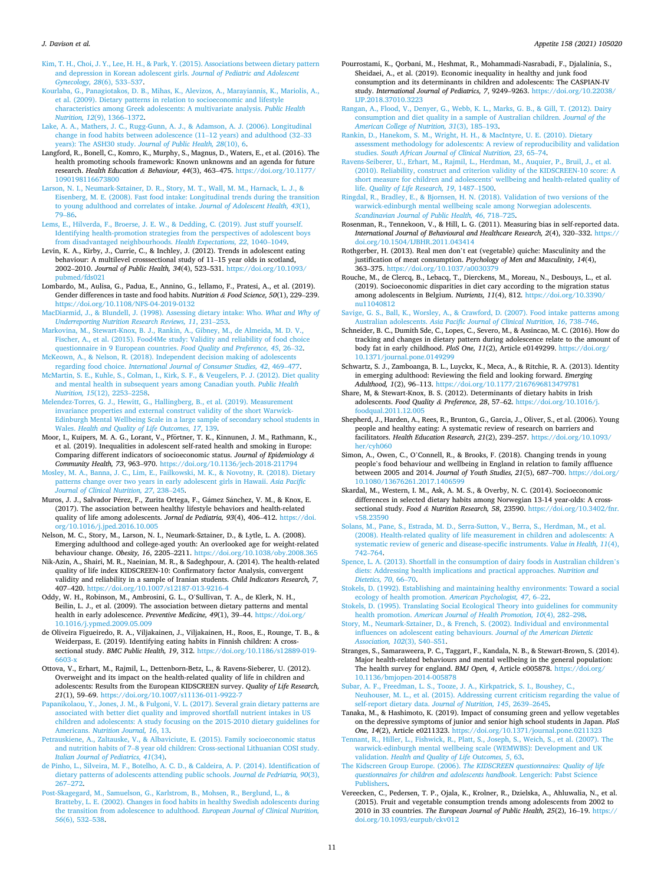#### <span id="page-10-0"></span>*J. Davison et al.*

[Kim, T. H., Choi, J. Y., Lee, H. H., & Park, Y. \(2015\). Associations between dietary pattern](http://refhub.elsevier.com/S0195-6663(20)31642-1/sref47)  [and depression in Korean adolescent girls.](http://refhub.elsevier.com/S0195-6663(20)31642-1/sref47) *Journal of Pediatric and Adolescent [Gynecology, 28](http://refhub.elsevier.com/S0195-6663(20)31642-1/sref47)*(6), 533–537.

- [Kourlaba, G., Panagiotakos, D. B., Mihas, K., Alevizos, A., Marayiannis, K., Mariolis, A.,](http://refhub.elsevier.com/S0195-6663(20)31642-1/sref48)  [et al. \(2009\). Dietary patterns in relation to socioeconomic and lifestyle](http://refhub.elsevier.com/S0195-6663(20)31642-1/sref48)  [characteristics among Greek adolescents: A multivariate analysis.](http://refhub.elsevier.com/S0195-6663(20)31642-1/sref48) *Public Health [Nutrition, 12](http://refhub.elsevier.com/S0195-6663(20)31642-1/sref48)*(9), 1366–1372.
- [Lake, A. A., Mathers, J. C., Rugg-Gunn, A. J., & Adamson, A. J. \(2006\). Longitudinal](http://refhub.elsevier.com/S0195-6663(20)31642-1/sref50)  [change in food habits between adolescence \(11](http://refhub.elsevier.com/S0195-6663(20)31642-1/sref50)–12 years) and adulthood (32–33 years): The ASH30 study. *[Journal of Public Health, 28](http://refhub.elsevier.com/S0195-6663(20)31642-1/sref50)*(10), 6.
- Langford, R., Bonell, C., Komro, K., Murphy, S., Magnus, D., Waters, E., et al. (2016). The health promoting schools framework: Known unknowns and an agenda for future research. *Health Education & Behaviour, 44*(3), 463–475. [https://doi.org/10.1177/](https://doi.org/10.1177/1090198116673800) [1090198116673800](https://doi.org/10.1177/1090198116673800)
- [Larson, N. I., Neumark-Sztainer, D. R., Story, M. T., Wall, M. M., Harnack, L. J., &](http://refhub.elsevier.com/S0195-6663(20)31642-1/sref52) [Eisenberg, M. E. \(2008\). Fast food intake: Longitudinal trends during the transition](http://refhub.elsevier.com/S0195-6663(20)31642-1/sref52)  [to young adulthood and correlates of intake.](http://refhub.elsevier.com/S0195-6663(20)31642-1/sref52) *Journal of Adolescent Health, 43*(1), 79–[86](http://refhub.elsevier.com/S0195-6663(20)31642-1/sref52).
- [Lems, E., Hilverda, F., Broerse, J. E. W., & Dedding, C. \(2019\). Just stuff yourself.](http://refhub.elsevier.com/S0195-6663(20)31642-1/sref53)  [Identifying health-promotion strategies from the perspectives of adolescent boys](http://refhub.elsevier.com/S0195-6663(20)31642-1/sref53)  [from disadvantaged neighbourhoods.](http://refhub.elsevier.com/S0195-6663(20)31642-1/sref53) *Health Expectations, 22*, 1040–1049.
- Levin, K. A., Kirby, J., Currie, C., & Inchley, J. (2012). Trends in adolescent eating behaviour: A multilevel crosssectional study of 11–15 year olds in scotland, 2002–2010. *Journal of Public Health, 34*(4), 523–531. [https://doi.org/10.1093/](https://doi.org/10.1093/pubmed/fds021) [pubmed/fds021](https://doi.org/10.1093/pubmed/fds021)
- Lombardo, M., Aulisa, G., Padua, E., Annino, G., Iellamo, F., Pratesi, A., et al. (2019). Gender differences in taste and food habits. *Nutrition & Food Science, 50*(1), 229–239. <https://doi.org/10.1108/NFS-04-2019-0132>
- [MacDiarmid, J., & Blundell, J. \(1998\). Assessing dietary intake: Who.](http://refhub.elsevier.com/S0195-6663(20)31642-1/sref56) *What and Why of [Underreporting Nutrition Research Reviews, 11](http://refhub.elsevier.com/S0195-6663(20)31642-1/sref56)*, 231–253.
- [Markovina, M., Stewart-Knox, B. J., Rankin, A., Gibney, M., de Almeida, M. D. V.,](http://refhub.elsevier.com/S0195-6663(20)31642-1/sref57)  [Fischer, A., et al. \(2015\). Food4Me study: Validity and reliability of food choice](http://refhub.elsevier.com/S0195-6663(20)31642-1/sref57) [questionnaire in 9 European countries.](http://refhub.elsevier.com/S0195-6663(20)31642-1/sref57) *Food Quality and Preference, 45*, 26–32. [McKeown, A., & Nelson, R. \(2018\). Independent decision making of adolescents](http://refhub.elsevier.com/S0195-6663(20)31642-1/sref58)
- regarding food choice. *[International Journal of Consumer Studies, 42](http://refhub.elsevier.com/S0195-6663(20)31642-1/sref58)*, 469–477.
- [McMartin, S. E., Kuhle, S., Colman, I., Kirk, S. F., & Veugelers, P. J. \(2012\). Diet quality](http://refhub.elsevier.com/S0195-6663(20)31642-1/sref59)  [and mental health in subsequent years among Canadian youth.](http://refhub.elsevier.com/S0195-6663(20)31642-1/sref59) *Public Health [Nutrition, 15](http://refhub.elsevier.com/S0195-6663(20)31642-1/sref59)*(12), 2253–2258.
- [Melendez-Torres, G. J., Hewitt, G., Hallingberg, B., et al. \(2019\). Measurement](http://refhub.elsevier.com/S0195-6663(20)31642-1/sref60) [invariance properties and external construct validity of the short Warwick-](http://refhub.elsevier.com/S0195-6663(20)31642-1/sref60)[Edinburgh Mental Wellbeing Scale in a large sample of secondary school students in](http://refhub.elsevier.com/S0195-6663(20)31642-1/sref60)  Wales. *[Health and Quality of Life Outcomes, 17](http://refhub.elsevier.com/S0195-6663(20)31642-1/sref60)*, 139.
- Moor, I., Kuipers, M. A. G., Lorant, V., Pförtner, T. K., Kinnunen, J. M., Rathmann, K., et al. (2019). Inequalities in adolescent self-rated health and smoking in Europe: Comparing different indicators of socioeconomic status. *Journal of Epidemiology & Community Health, 73*, 963–970. <https://doi.org/10.1136/jech-2018-211794>
- [Mosley, M. A., Banna, J. C., Lim, E., Failkowski, M. K., & Novotny, R. \(2018\). Dietary](http://refhub.elsevier.com/S0195-6663(20)31642-1/sref62) [patterns change over two years in early adolescent girls in Hawaii.](http://refhub.elsevier.com/S0195-6663(20)31642-1/sref62) *Asia Pacific [Journal of Clinical Nutrition, 27](http://refhub.elsevier.com/S0195-6663(20)31642-1/sref62)*, 238–245.
- Muros, J. J., Salvador Pérez, F., Zurita Ortega, F., Gámez Sánchez, V. M., & Knox, E. (2017). The association between healthy lifestyle behaviors and health-related quality of life among adolescents. *Jornal de Pediatria, 93*(4), 406–412. [https://doi.](https://doi.org/10.1016/j.jped.2016.10.005)  [org/10.1016/j.jped.2016.10.005](https://doi.org/10.1016/j.jped.2016.10.005)
- Nelson, M. C., Story, M., Larson, N. I., Neumark-Sztainer, D., & Lytle, L. A. (2008). Emerging adulthood and college-aged youth: An overlooked age for weight-related behaviour change. *Obesity, 16*, 2205–2211.<https://doi.org/10.1038/oby.2008.365>
- Nik-Azin, A., Shairi, M. R., Naeinian, M. R., & Sadeghpour, A. (2014). The health-related quality of life index KIDSCREEN-10: Confirmatory factor Analysis, convergent validity and reliability in a sample of Iranian students. *Child Indicators Research, 7*, 407–420. <https://doi.org/10.1007/s12187-013-9216-4>
- Oddy, W. H., Robinson, M., Ambrosini, G. L., O'Sullivan, T. A., de Klerk, N. H., Beilin, L. J., et al. (2009). The association between dietary patterns and mental health in early adolescence. *Preventive Medicine, 49*(1), 39–44. [https://doi.org/](https://doi.org/10.1016/j.ypmed.2009.05.009) [10.1016/j.ypmed.2009.05.009](https://doi.org/10.1016/j.ypmed.2009.05.009)
- de Oliveira Figueiredo, R. A., Viljakainen, J., Viljakainen, H., Roos, E., Rounge, T. B., & Weiderpass, E. (2019). Identifying eating habits in Finnish children: A crosssectional study. *BMC Public Health, 19*, 312. [https://doi.org/10.1186/s12889-019-](https://doi.org/10.1186/s12889-019-6603-x) 6603
- Ottova, V., Erhart, M., Rajmil, L., Dettenborn-Betz, L., & Ravens-Sieberer, U. (2012). Overweight and its impact on the health-related quality of life in children and adolescents: Results from the European KIDSCREEN survey. *Quality of Life Research, 21*(1), 59–69.<https://doi.org/10.1007/s11136-011-9922-7>
- [Papanikolaou, Y., Jones, J. M., & Fulgoni, V. L. \(2017\). Several grain dietary patterns are](http://refhub.elsevier.com/S0195-6663(20)31642-1/sref69)  [associated with better diet quality and improved shortfall nutrient intakes in US](http://refhub.elsevier.com/S0195-6663(20)31642-1/sref69)  [children and adolescents: A study focusing on the 2015-2010 dietary guidelines for](http://refhub.elsevier.com/S0195-6663(20)31642-1/sref69)  Americans. *[Nutrition Journal, 16](http://refhub.elsevier.com/S0195-6663(20)31642-1/sref69)*, 13.
- [Petrauskiene, A., Zaltauske, V., & Albaviciute, E. \(2015\). Family socioeconomic status](http://refhub.elsevier.com/S0195-6663(20)31642-1/sref70)  and nutrition habits of 7–[8 year old children: Cross-sectional Lithuanian COSI study.](http://refhub.elsevier.com/S0195-6663(20)31642-1/sref70)  *[Italian Journal of Pediatrics, 41](http://refhub.elsevier.com/S0195-6663(20)31642-1/sref70)*(34).
- [de Pinho, L., Silveira, M. F., Botelho, A. C. D., & Caldeira, A. P. \(2014\). Identification of](http://refhub.elsevier.com/S0195-6663(20)31642-1/sref71)  [dietary patterns of adolescents attending public schools.](http://refhub.elsevier.com/S0195-6663(20)31642-1/sref71) *Journal de Pedriatria, 90*(3), 267–[272](http://refhub.elsevier.com/S0195-6663(20)31642-1/sref71).
- [Post-Skagegard, M., Samuelson, G., Karlstrom, B., Mohsen, R., Berglund, L., &](http://refhub.elsevier.com/S0195-6663(20)31642-1/sref72) [Bratteby, L. E. \(2002\). Changes in food habits in healthy Swedish adolescents during](http://refhub.elsevier.com/S0195-6663(20)31642-1/sref72)  [the transition from adolescence to adulthood.](http://refhub.elsevier.com/S0195-6663(20)31642-1/sref72) *European Journal of Clinical Nutrition, 56*[\(6\), 532](http://refhub.elsevier.com/S0195-6663(20)31642-1/sref72)–538.
- Pourrostami, K., Qorbani, M., Heshmat, R., Mohammadi-Nasrabadi, F., Djalalinia, S., Sheidaei, A., et al. (2019). Economic inequality in healthy and junk food consumption and its determinants in children and adolescents: The CASPIAN-IV study. *International Journal of Pediatrics, 7*, 9249–9263. [https://doi.org/10.22038/](https://doi.org/10.22038/IJP.2018.37010.3223)  [IJP.2018.37010.3223](https://doi.org/10.22038/IJP.2018.37010.3223)
- [Rangan, A., Flood, V., Denyer, G., Webb, K. L., Marks, G. B., & Gill, T. \(2012\). Dairy](http://refhub.elsevier.com/S0195-6663(20)31642-1/sref74)  [consumption and diet quality in a sample of Australian children.](http://refhub.elsevier.com/S0195-6663(20)31642-1/sref74) *Journal of the [American College of Nutrition, 31](http://refhub.elsevier.com/S0195-6663(20)31642-1/sref74)*(3), 185–193.

[Rankin, D., Hanekom, S. M., Wright, H. H., & MacIntyre, U. E. \(2010\). Dietary](http://refhub.elsevier.com/S0195-6663(20)31642-1/sref75)  [assessment methodology for adolescents: A review of reproducibility and validation](http://refhub.elsevier.com/S0195-6663(20)31642-1/sref75)  studies. *[South African Journal of Clinical Nutrition, 23](http://refhub.elsevier.com/S0195-6663(20)31642-1/sref75)*, 65–74.

[Ravens-Seiberer, U., Erhart, M., Rajmil, L., Herdman, M., Auquier, P., Bruil, J., et al.](http://refhub.elsevier.com/S0195-6663(20)31642-1/sref76)  [\(2010\). Reliability, construct and criterion validity of the KIDSCREEN-10 score: A](http://refhub.elsevier.com/S0195-6663(20)31642-1/sref76) [short measure for children and adolescents](http://refhub.elsevier.com/S0195-6663(20)31642-1/sref76)' wellbeing and health-related quality of life. *[Quality of Life Research, 19](http://refhub.elsevier.com/S0195-6663(20)31642-1/sref76)*, 1487–1500.

[Ringdal, R., Bradley, E., & Bjornsen, H. N. \(2018\). Validation of two versions of the](http://refhub.elsevier.com/S0195-6663(20)31642-1/sref77)  [warwick-edinburgh mental wellbeing scale among Norwegian adolescents.](http://refhub.elsevier.com/S0195-6663(20)31642-1/sref77)  *[Scandinavian Journal of Public Health, 46](http://refhub.elsevier.com/S0195-6663(20)31642-1/sref77)*, 718–725.

- Rosenman, R., Tennekoon, V., & Hill, L. G. (2011). Measuring bias in self-reported data. *International Journal of Behavioural and Healthcare Research, 2*(4), 320–332. [https://](https://doi.org/10.1504/IJBHR.2011.043414)  [doi.org/10.1504/IJBHR.2011.043414](https://doi.org/10.1504/IJBHR.2011.043414)
- Rothgerber, H. (2013). Real men don't eat (vegetable) quiche: Masculinity and the justification of meat consumption. *Psychology of Men and Masculinity, 14*(4), 363–375. <https://doi.org/10.1037/a0030379>
- Rouche, M., de Clercq, B., Lebacq, T., Dierckens, M., Moreau, N., Desbouys, L., et al. (2019). Socioeconomic disparities in diet cary according to the migration status among adolescents in Belgium. *Nutrients, 11*(4), 812. [https://doi.org/10.3390/](https://doi.org/10.3390/nu11040812) [nu11040812](https://doi.org/10.3390/nu11040812)
- [Savige, G. S., Ball, K., Worsley, A., & Crawford, D. \(2007\). Food intake patterns among](http://refhub.elsevier.com/S0195-6663(20)31642-1/sref81)  Australian adolescents. *[Asia Pacific Journal of Clinical Nutrition, 16](http://refhub.elsevier.com/S0195-6663(20)31642-1/sref81)*, 738–746.
- Schneider, B. C., Dumith Sde, C., Lopes, C., Severo, M., & Assincao, M. C. (2016). How do tracking and changes in dietary pattern during adolescence relate to the amount of body fat in early childhood. *PloS One, 11*(2), Article e0149299. [https://doi.org/](https://doi.org/10.1371/journal.pone.0149299)  [10.1371/journal.pone.0149299](https://doi.org/10.1371/journal.pone.0149299)
- Schwartz, S. J., Zamboanga, B. L., Luyckx, K., Meca, A., & Ritchie, R. A. (2013). Identity in emerging adulthood: Reviewing the field and looking forward. *Emerging Adulthood, 1*(2), 96–113. <https://doi.org/10.1177/2167696813479781>
- Share, M, & Stewart-Knox, B. S. (2012). Determinants of dietary habits in Irish adolescents. *Food Quality & Preference, 28*, 57–62. [https://doi.org/10.1016/j.](https://doi.org/10.1016/j.foodqual.2011.12.005) [foodqual.2011.12.005](https://doi.org/10.1016/j.foodqual.2011.12.005)
- Shepherd, J., Harden, A., Rees, R., Brunton, G., Garcia, J., Oliver, S., et al. (2006). Young people and healthy eating: A systematic review of research on barriers and facilitators. *Health Education Research, 21*(2), 239–257. [https://doi.org/10.1093/](https://doi.org/10.1093/her/cyh060)  [her/cyh060](https://doi.org/10.1093/her/cyh060)
- Simon, A., Owen, C., O'Connell, R., & Brooks, F. (2018). Changing trends in young people's food behaviour and wellbeing in England in relation to family affluence between 2005 and 2014. *Journal of Youth Studies, 21*(5), 687–700. [https://doi.org/](https://doi.org/10.1080/13676261.2017.1406599)  [10.1080/13676261.2017.1406599](https://doi.org/10.1080/13676261.2017.1406599)
- Skardal, M., Western, I. M., Ask, A. M. S., & Overby, N. C. (2014). Socioeconomic differences in selected dietary habits among Norwegian 13-14 year-olds: A crosssectional study. *Food & Nutrition Research, 58*, 23590. [https://doi.org/10.3402/fnr.](https://doi.org/10.3402/fnr.v58.23590)  [v58.23590](https://doi.org/10.3402/fnr.v58.23590)
- [Solans, M., Pane, S., Estrada, M. D., Serra-Sutton, V., Berra, S., Herdman, M., et al.](http://refhub.elsevier.com/S0195-6663(20)31642-1/sref87)  [\(2008\). Health-related quality of life measurement in children and adolescents: A](http://refhub.elsevier.com/S0195-6663(20)31642-1/sref87) [systematic review of generic and disease-specific instruments.](http://refhub.elsevier.com/S0195-6663(20)31642-1/sref87) *Value in Health, 11*(4), 742–[764](http://refhub.elsevier.com/S0195-6663(20)31642-1/sref87).
- [Spence, L. A. \(2013\). Shortfall in the consumption of dairy foods in Australian children](http://refhub.elsevier.com/S0195-6663(20)31642-1/sref88)'s [diets: Addressing health implications and practical approaches.](http://refhub.elsevier.com/S0195-6663(20)31642-1/sref88) *Nutrition and [Dietetics, 70](http://refhub.elsevier.com/S0195-6663(20)31642-1/sref88)*, 66–70.
- [Stokels, D. \(1992\). Establishing and maintaining healthy environments: Toward a social](http://refhub.elsevier.com/S0195-6663(20)31642-1/sref89)  [ecology of health promotion.](http://refhub.elsevier.com/S0195-6663(20)31642-1/sref89) *American Psychologist, 47*, 6–22.
- [Stokels, D. \(1995\). Translating Social Ecological Theory into guidelines for community](http://refhub.elsevier.com/S0195-6663(20)31642-1/sref90) health promotion. *[American Journal of Health Promotion, 10](http://refhub.elsevier.com/S0195-6663(20)31642-1/sref90)*(4), 282–298.
- [Story, M., Neumark-Sztainer, D., & French, S. \(2002\). Individual and environmental](http://refhub.elsevier.com/S0195-6663(20)31642-1/sref91) [influences on adolescent eating behaviours.](http://refhub.elsevier.com/S0195-6663(20)31642-1/sref91) *Journal of the American Dietetic [Association, 102](http://refhub.elsevier.com/S0195-6663(20)31642-1/sref91)*(3), S40–S51.
- Stranges, S., Samaraweera, P. C., Taggart, F., Kandala, N. B., & Stewart-Brown, S. (2014). Major health-related behaviours and mental wellbeing in the general population: The health survey for england. *BMJ Open, 4*, Article e005878. [https://doi.org/](https://doi.org/10.1136/bmjopen-2014-005878)  [10.1136/bmjopen-2014-005878](https://doi.org/10.1136/bmjopen-2014-005878)
- [Subar, A. F., Freedman, L. S., Tooze, J. A., Kirkpatrick, S. I., Boushey, C.,](http://refhub.elsevier.com/S0195-6663(20)31642-1/sref93)  [Neuhouser, M. L., et al. \(2015\). Addressing current criticism regarding the value of](http://refhub.elsevier.com/S0195-6663(20)31642-1/sref93)  [self-report dietary data.](http://refhub.elsevier.com/S0195-6663(20)31642-1/sref93) *Journal of Nutrition, 145*, 2639–2645.
- Tanaka, M., & Hashimoto, K. (2019). Impact of consuming green and yellow vegetables on the depressive symptoms of junior and senior high school students in Japan. *PloS One, 14*(2), Article e0211323. <https://doi.org/10.1371/journal.pone.0211323>
- [Tennant, R., Hiller, L., Fishwick, R., Platt, S., Joseph, S., Weich, S., et al. \(2007\). The](http://refhub.elsevier.com/S0195-6663(20)31642-1/sref95) [warwick-edinburgh mental wellbeing scale \(WEMWBS\): Development and UK](http://refhub.elsevier.com/S0195-6663(20)31642-1/sref95) validation. *[Health and Quality of Life Outcomes, 5](http://refhub.elsevier.com/S0195-6663(20)31642-1/sref95)*, 63.
- The Kidscreen Group Europe. (2006). *[The KIDSCREEN questionnaires: Quality of life](http://refhub.elsevier.com/S0195-6663(20)31642-1/sref96) [questionnaires for children and adolescents handbook](http://refhub.elsevier.com/S0195-6663(20)31642-1/sref96)*. Lengerich: Pabst Science [Publishers.](http://refhub.elsevier.com/S0195-6663(20)31642-1/sref96)
- Vereecken, C., Pedersen, T. P., Ojala, K., Krolner, R., Dzielska, A., Ahluwalia, N., et al. (2015). Fruit and vegetable consumption trends among adolescents from 2002 to 2010 in 33 countries. *The European Journal of Public Health, 25*(2), 16–19. [https://](https://doi.org/10.1093/eurpub/ckv012)  [doi.org/10.1093/eurpub/ckv012](https://doi.org/10.1093/eurpub/ckv012)